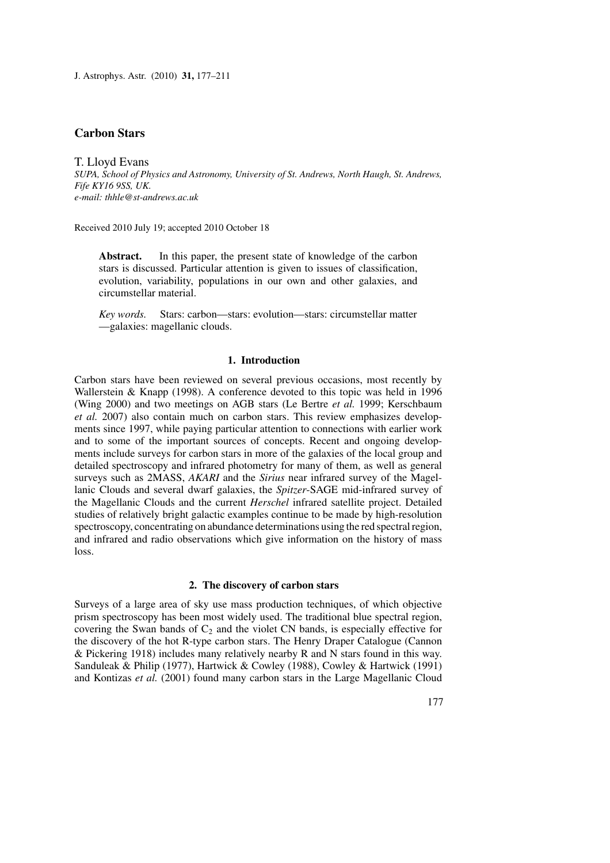J. Astrophys. Astr. (2010) **31,** 177–211

# **Carbon Stars**

T. Lloyd Evans *SUPA, School of Physics and Astronomy, University of St. Andrews, North Haugh, St. Andrews, Fife KY16 9SS, UK. e-mail: thhle@st-andrews.ac.uk*

Received 2010 July 19; accepted 2010 October 18

Abstract. In this paper, the present state of knowledge of the carbon stars is discussed. Particular attention is given to issues of classification, evolution, variability, populations in our own and other galaxies, and circumstellar material.

*Key words.* Stars: carbon—stars: evolution—stars: circumstellar matter —galaxies: magellanic clouds.

# **1. Introduction**

Carbon stars have been reviewed on several previous occasions, most recently by Wallerstein & Knapp (1998). A conference devoted to this topic was held in 1996 (Wing 2000) and two meetings on AGB stars (Le Bertre *et al.* 1999; Kerschbaum *et al.* 2007) also contain much on carbon stars. This review emphasizes developments since 1997, while paying particular attention to connections with earlier work and to some of the important sources of concepts. Recent and ongoing developments include surveys for carbon stars in more of the galaxies of the local group and detailed spectroscopy and infrared photometry for many of them, as well as general surveys such as 2MASS, *AKARI* and the *Sirius* near infrared survey of the Magellanic Clouds and several dwarf galaxies, the *Spitzer*-SAGE mid-infrared survey of the Magellanic Clouds and the current *Herschel* infrared satellite project. Detailed studies of relatively bright galactic examples continue to be made by high-resolution spectroscopy, concentrating on abundance determinations using the red spectral region, and infrared and radio observations which give information on the history of mass loss.

### **2. The discovery of carbon stars**

Surveys of a large area of sky use mass production techniques, of which objective prism spectroscopy has been most widely used. The traditional blue spectral region, covering the Swan bands of  $C_2$  and the violet CN bands, is especially effective for the discovery of the hot R-type carbon stars. The Henry Draper Catalogue (Cannon & Pickering 1918) includes many relatively nearby R and N stars found in this way. Sanduleak & Philip (1977), Hartwick & Cowley (1988), Cowley & Hartwick (1991) and Kontizas *et al.* (2001) found many carbon stars in the Large Magellanic Cloud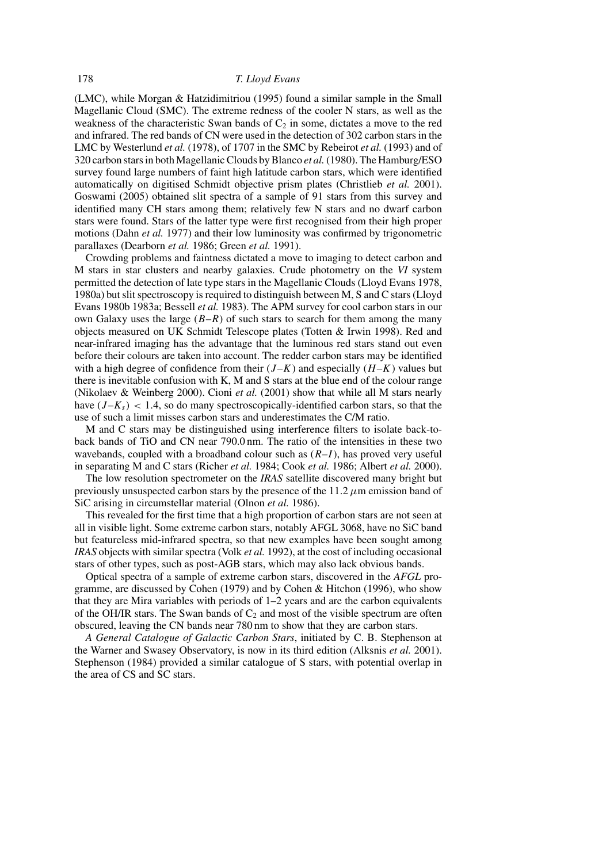(LMC), while Morgan & Hatzidimitriou (1995) found a similar sample in the Small Magellanic Cloud (SMC). The extreme redness of the cooler N stars, as well as the weakness of the characteristic Swan bands of  $C_2$  in some, dictates a move to the red and infrared. The red bands of CN were used in the detection of 302 carbon stars in the LMC by Westerlund *et al.* (1978), of 1707 in the SMC by Rebeirot *et al.* (1993) and of 320 carbon stars in both Magellanic Clouds by Blanco *et al.*(1980). The Hamburg/ESO survey found large numbers of faint high latitude carbon stars, which were identified automatically on digitised Schmidt objective prism plates (Christlieb *et al.* 2001). Goswami (2005) obtained slit spectra of a sample of 91 stars from this survey and identified many CH stars among them; relatively few N stars and no dwarf carbon stars were found. Stars of the latter type were first recognised from their high proper motions (Dahn *et al.* 1977) and their low luminosity was confirmed by trigonometric parallaxes (Dearborn *et al.* 1986; Green *et al.* 1991).

Crowding problems and faintness dictated a move to imaging to detect carbon and M stars in star clusters and nearby galaxies. Crude photometry on the *VI* system permitted the detection of late type stars in the Magellanic Clouds (Lloyd Evans 1978, 1980a) but slit spectroscopy is required to distinguish between M, S and C stars (Lloyd Evans 1980b 1983a; Bessell *et al.* 1983). The APM survey for cool carbon stars in our own Galaxy uses the large  $(B-R)$  of such stars to search for them among the many objects measured on UK Schmidt Telescope plates (Totten & Irwin 1998). Red and near-infrared imaging has the advantage that the luminous red stars stand out even before their colours are taken into account. The redder carbon stars may be identified with a high degree of confidence from their  $(J-K)$  and especially  $(H-K)$  values but there is inevitable confusion with K, M and S stars at the blue end of the colour range (Nikolaev & Weinberg 2000). Cioni *et al.* (2001) show that while all M stars nearly have  $(J-K<sub>s</sub>)$  < 1.4, so do many spectroscopically-identified carbon stars, so that the use of such a limit misses carbon stars and underestimates the C/M ratio.

M and C stars may be distinguished using interference filters to isolate back-toback bands of TiO and CN near 790.0 nm. The ratio of the intensities in these two wavebands, coupled with a broadband colour such as  $(R-I)$ , has proved very useful in separating M and C stars (Richer *et al.* 1984; Cook *et al.* 1986; Albert *et al.* 2000).

The low resolution spectrometer on the *IRAS* satellite discovered many bright but previously unsuspected carbon stars by the presence of the  $11.2 \mu m$  emission band of SiC arising in circumstellar material (Olnon *et al.* 1986).

This revealed for the first time that a high proportion of carbon stars are not seen at all in visible light. Some extreme carbon stars, notably AFGL 3068, have no SiC band but featureless mid-infrared spectra, so that new examples have been sought among *IRAS* objects with similar spectra (Volk *et al.* 1992), at the cost of including occasional stars of other types, such as post-AGB stars, which may also lack obvious bands.

Optical spectra of a sample of extreme carbon stars, discovered in the *AFGL* programme, are discussed by Cohen (1979) and by Cohen & Hitchon (1996), who show that they are Mira variables with periods of 1–2 years and are the carbon equivalents of the OH/IR stars. The Swan bands of  $C_2$  and most of the visible spectrum are often obscured, leaving the CN bands near 780 nm to show that they are carbon stars.

*A General Catalogue of Galactic Carbon Stars*, initiated by C. B. Stephenson at the Warner and Swasey Observatory, is now in its third edition (Alksnis *et al.* 2001). Stephenson (1984) provided a similar catalogue of S stars, with potential overlap in the area of CS and SC stars.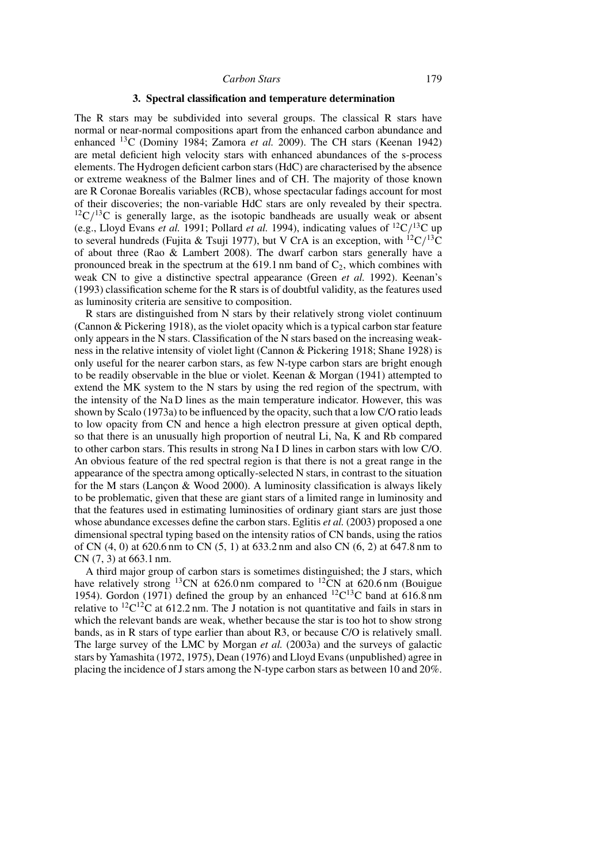#### *Carbon Stars* 179

### **3. Spectral classification and temperature determination**

The R stars may be subdivided into several groups. The classical R stars have normal or near-normal compositions apart from the enhanced carbon abundance and enhanced 13C (Dominy 1984; Zamora *et al.* 2009). The CH stars (Keenan 1942) are metal deficient high velocity stars with enhanced abundances of the s-process elements. The Hydrogen deficient carbon stars (HdC) are characterised by the absence or extreme weakness of the Balmer lines and of CH. The majority of those known are R Coronae Borealis variables (RCB), whose spectacular fadings account for most of their discoveries; the non-variable HdC stars are only revealed by their spectra.  $12C/13C$  is generally large, as the isotopic bandheads are usually weak or absent (e.g., Lloyd Evans *et al.* 1991; Pollard *et al.* 1994), indicating values of <sup>12</sup>C/<sup>13</sup>C up to several hundreds (Fujita & Tsuji 1977), but V CrA is an exception, with <sup>12</sup>C/<sup>13</sup>C of about three (Rao & Lambert 2008). The dwarf carbon stars generally have a pronounced break in the spectrum at the 619.1 nm band of  $C_2$ , which combines with weak CN to give a distinctive spectral appearance (Green *et al.* 1992). Keenan's (1993) classification scheme for the R stars is of doubtful validity, as the features used as luminosity criteria are sensitive to composition.

R stars are distinguished from N stars by their relatively strong violet continuum (Cannon & Pickering 1918), as the violet opacity which is a typical carbon star feature only appears in the N stars. Classification of the N stars based on the increasing weakness in the relative intensity of violet light (Cannon & Pickering 1918; Shane 1928) is only useful for the nearer carbon stars, as few N-type carbon stars are bright enough to be readily observable in the blue or violet. Keenan & Morgan (1941) attempted to extend the MK system to the N stars by using the red region of the spectrum, with the intensity of the Na D lines as the main temperature indicator. However, this was shown by Scalo (1973a) to be influenced by the opacity, such that a low C/O ratio leads to low opacity from CN and hence a high electron pressure at given optical depth, so that there is an unusually high proportion of neutral Li, Na, K and Rb compared to other carbon stars. This results in strong Na I D lines in carbon stars with low C/O. An obvious feature of the red spectral region is that there is not a great range in the appearance of the spectra among optically-selected N stars, in contrast to the situation for the M stars (Lancon & Wood 2000). A luminosity classification is always likely to be problematic, given that these are giant stars of a limited range in luminosity and that the features used in estimating luminosities of ordinary giant stars are just those whose abundance excesses define the carbon stars. Eglitis *et al.* (2003) proposed a one dimensional spectral typing based on the intensity ratios of CN bands, using the ratios of CN (4, 0) at 620.6 nm to CN (5, 1) at 633.2 nm and also CN (6, 2) at 647.8 nm to CN (7, 3) at 663.1 nm.

A third major group of carbon stars is sometimes distinguished; the J stars, which have relatively strong <sup>13</sup>CN at 626.0 nm compared to <sup>12</sup>CN at 620.6 nm (Bouigue 1954). Gordon (1971) defined the group by an enhanced <sup>12</sup>C<sup>13</sup>C band at 616.8 nm relative to  ${}^{12}C^{12}C$  at 612.2 nm. The J notation is not quantitative and fails in stars in which the relevant bands are weak, whether because the star is too hot to show strong bands, as in R stars of type earlier than about R3, or because C/O is relatively small. The large survey of the LMC by Morgan *et al.* (2003a) and the surveys of galactic stars by Yamashita (1972, 1975), Dean (1976) and Lloyd Evans (unpublished) agree in placing the incidence of J stars among the N-type carbon stars as between 10 and 20%.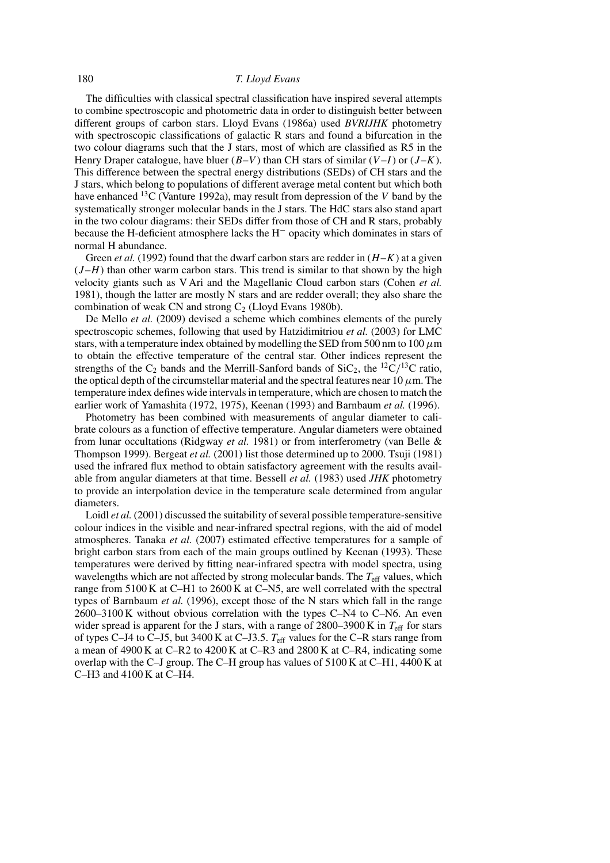The difficulties with classical spectral classification have inspired several attempts to combine spectroscopic and photometric data in order to distinguish better between different groups of carbon stars. Lloyd Evans (1986a) used *BVRIJHK* photometry with spectroscopic classifications of galactic R stars and found a bifurcation in the two colour diagrams such that the J stars, most of which are classified as R5 in the Henry Draper catalogue, have bluer  $(B-V)$  than CH stars of similar  $(V-I)$  or  $(J-K)$ . This difference between the spectral energy distributions (SEDs) of CH stars and the J stars, which belong to populations of different average metal content but which both have enhanced <sup>13</sup>C (Vanture 1992a), may result from depression of the V band by the systematically stronger molecular bands in the J stars. The HdC stars also stand apart in the two colour diagrams: their SEDs differ from those of CH and R stars, probably because the H-deficient atmosphere lacks the H<sup>−</sup> opacity which dominates in stars of normal H abundance.

Green *et al.* (1992) found that the dwarf carbon stars are redder in  $(H-K)$  at a given  $(J-H)$  than other warm carbon stars. This trend is similar to that shown by the high velocity giants such as V Ari and the Magellanic Cloud carbon stars (Cohen *et al.* 1981), though the latter are mostly N stars and are redder overall; they also share the combination of weak CN and strong  $C_2$  (Lloyd Evans 1980b).

De Mello *et al.* (2009) devised a scheme which combines elements of the purely spectroscopic schemes, following that used by Hatzidimitriou *et al.* (2003) for LMC stars, with a temperature index obtained by modelling the SED from 500 nm to 100  $\mu$ m to obtain the effective temperature of the central star. Other indices represent the strengths of the  $C_2$  bands and the Merrill-Sanford bands of  $SiC_2$ , the <sup>12</sup>C/<sup>13</sup>C ratio, the optical depth of the circumstellar material and the spectral features near 10  $\mu$ m. The temperature index defines wide intervals in temperature, which are chosen to match the earlier work of Yamashita (1972, 1975), Keenan (1993) and Barnbaum *et al.* (1996).

Photometry has been combined with measurements of angular diameter to calibrate colours as a function of effective temperature. Angular diameters were obtained from lunar occultations (Ridgway *et al.* 1981) or from interferometry (van Belle & Thompson 1999). Bergeat *et al.* (2001) list those determined up to 2000. Tsuji (1981) used the infrared flux method to obtain satisfactory agreement with the results available from angular diameters at that time. Bessell *et al.* (1983) used *JHK* photometry to provide an interpolation device in the temperature scale determined from angular diameters.

Loidl *et al.* (2001) discussed the suitability of several possible temperature-sensitive colour indices in the visible and near-infrared spectral regions, with the aid of model atmospheres. Tanaka *et al.* (2007) estimated effective temperatures for a sample of bright carbon stars from each of the main groups outlined by Keenan (1993). These temperatures were derived by fitting near-infrared spectra with model spectra, using wavelengths which are not affected by strong molecular bands. The  $T_{\text{eff}}$  values, which range from 5100 K at C–H1 to 2600 K at C–N5, are well correlated with the spectral types of Barnbaum *et al.* (1996), except those of the N stars which fall in the range 2600–3100 K without obvious correlation with the types C–N4 to C–N6. An even wider spread is apparent for the J stars, with a range of  $2800-3900$  K in  $T_{\text{eff}}$  for stars of types C–J4 to C–J5, but 3400 K at C–J3.5.  $T_{\text{eff}}$  values for the C–R stars range from a mean of 4900 K at C–R2 to 4200 K at C–R3 and 2800 K at C–R4, indicating some overlap with the C–J group. The C–H group has values of 5100 K at C–H1, 4400 K at C–H3 and 4100 K at C–H4.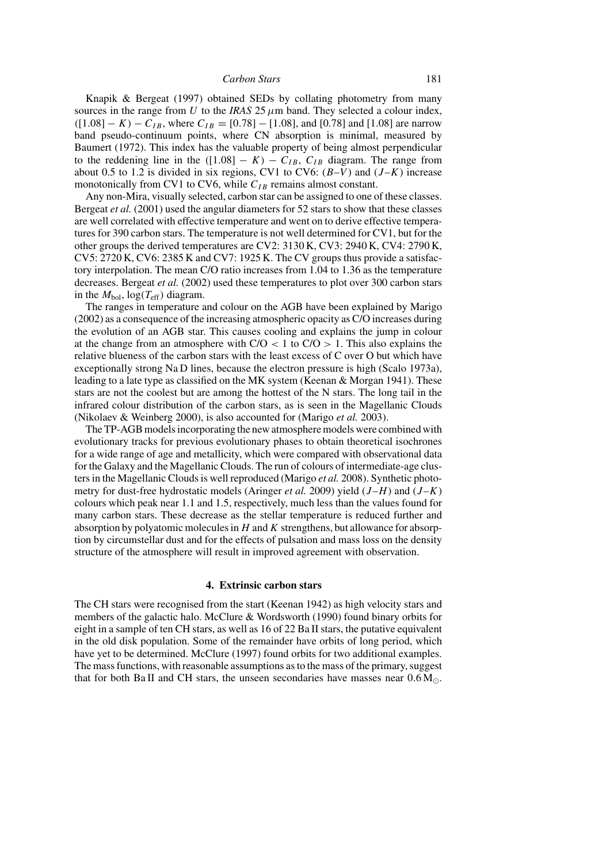#### *Carbon Stars* 181

Knapik & Bergeat (1997) obtained SEDs by collating photometry from many sources in the range from U to the *IRAS* 25  $\mu$ m band. They selected a colour index,  $([1.08] - K) - C_{IB}$ , where  $C_{IB} = [0.78] - [1.08]$ , and [0.78] and [1.08] are narrow band pseudo-continuum points, where CN absorption is minimal, measured by Baumert (1972). This index has the valuable property of being almost perpendicular to the reddening line in the  $([1.08] - K) - C_{IB}$ ,  $C_{IB}$  diagram. The range from about 0.5 to 1.2 is divided in six regions, CV1 to CV6:  $(B-V)$  and  $(J-K)$  increase monotonically from CV1 to CV6, while  $C_{IB}$  remains almost constant.

Any non-Mira, visually selected, carbon star can be assigned to one of these classes. Bergeat *et al.* (2001) used the angular diameters for 52 stars to show that these classes are well correlated with effective temperature and went on to derive effective temperatures for 390 carbon stars. The temperature is not well determined for CV1, but for the other groups the derived temperatures are CV2: 3130 K, CV3: 2940 K, CV4: 2790 K,  $CV5: 2720 K, CV6: 2385 K and CV7: 1925 K.$  The CV groups thus provide a satisfactory interpolation. The mean C/O ratio increases from 1.04 to 1.36 as the temperature decreases. Bergeat *et al.* (2002) used these temperatures to plot over 300 carbon stars in the  $M_{bol}$ ,  $log(T_{eff})$  diagram.

The ranges in temperature and colour on the AGB have been explained by Marigo (2002) as a consequence of the increasing atmospheric opacity as C/O increases during the evolution of an AGB star. This causes cooling and explains the jump in colour at the change from an atmosphere with  $C/O < 1$  to  $C/O > 1$ . This also explains the relative blueness of the carbon stars with the least excess of C over O but which have exceptionally strong Na D lines, because the electron pressure is high (Scalo 1973a), leading to a late type as classified on the MK system (Keenan & Morgan 1941). These stars are not the coolest but are among the hottest of the N stars. The long tail in the infrared colour distribution of the carbon stars, as is seen in the Magellanic Clouds (Nikolaev & Weinberg 2000), is also accounted for (Marigo *et al.* 2003).

The TP-AGB models incorporating the new atmosphere models were combined with evolutionary tracks for previous evolutionary phases to obtain theoretical isochrones for a wide range of age and metallicity, which were compared with observational data for the Galaxy and the Magellanic Clouds. The run of colours of intermediate-age clusters in the Magellanic Clouds is well reproduced (Marigo *et al.* 2008). Synthetic photometry for dust-free hydrostatic models (Aringer *et al.* 2009) yield  $(J-H)$  and  $(J-K)$ colours which peak near 1.1 and 1.5, respectively, much less than the values found for many carbon stars. These decrease as the stellar temperature is reduced further and absorption by polyatomic molecules in  $H$  and  $K$  strengthens, but allowance for absorption by circumstellar dust and for the effects of pulsation and mass loss on the density structure of the atmosphere will result in improved agreement with observation.

### **4. Extrinsic carbon stars**

The CH stars were recognised from the start (Keenan 1942) as high velocity stars and members of the galactic halo. McClure & Wordsworth (1990) found binary orbits for eight in a sample of ten CH stars, as well as 16 of 22 Ba II stars, the putative equivalent in the old disk population. Some of the remainder have orbits of long period, which have yet to be determined. McClure (1997) found orbits for two additional examples. The mass functions, with reasonable assumptions as to the mass of the primary, suggest that for both Ba II and CH stars, the unseen secondaries have masses near  $0.6 M_{\odot}$ .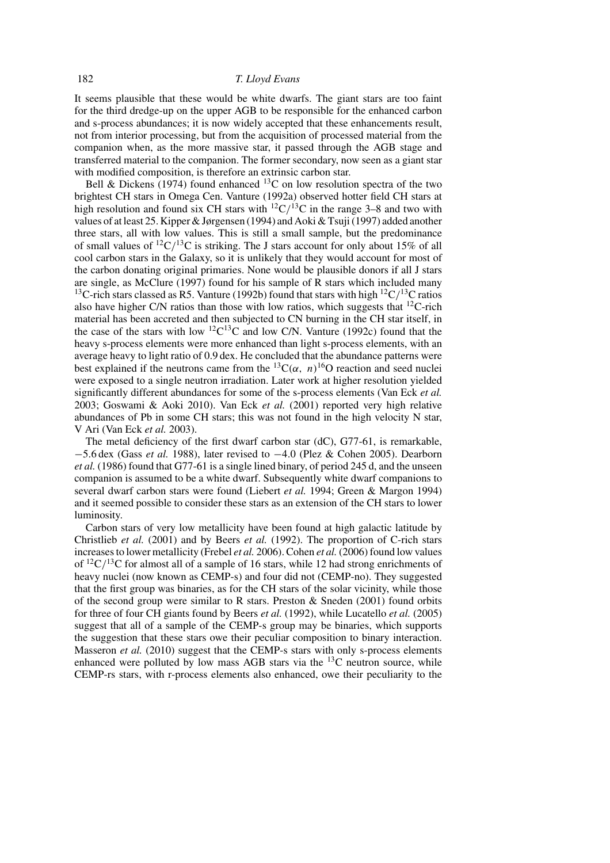# 182 *T. Lloyd Evans*

It seems plausible that these would be white dwarfs. The giant stars are too faint for the third dredge-up on the upper AGB to be responsible for the enhanced carbon and s-process abundances; it is now widely accepted that these enhancements result, not from interior processing, but from the acquisition of processed material from the companion when, as the more massive star, it passed through the AGB stage and transferred material to the companion. The former secondary, now seen as a giant star with modified composition, is therefore an extrinsic carbon star.

Bell & Dickens (1974) found enhanced <sup>13</sup>C on low resolution spectra of the two brightest CH stars in Omega Cen. Vanture (1992a) observed hotter field CH stars at high resolution and found six CH stars with  ${}^{12}C/{}^{13}C$  in the range 3–8 and two with values of at least 25. Kipper & Jørgensen (1994) and Aoki & Tsuji (1997) added another three stars, all with low values. This is still a small sample, but the predominance of small values of  ${}^{12}C/{}^{13}C$  is striking. The J stars account for only about 15% of all cool carbon stars in the Galaxy, so it is unlikely that they would account for most of the carbon donating original primaries. None would be plausible donors if all J stars are single, as McClure  $(1997)$  found for his sample of R stars which included many <sup>13</sup>C-rich stars classed as R5. Vanture (1992b) found that stars with high <sup>12</sup>C/<sup>13</sup>C ratios also have higher C/N ratios than those with low ratios, which suggests that  ${}^{12}$ C-rich material has been accreted and then subjected to CN burning in the CH star itself, in the case of the stars with low  $12^2C^{13}C$  and low C/N. Vanture (1992c) found that the heavy s-process elements were more enhanced than light s-process elements, with an average heavy to light ratio of 0.9 dex. He concluded that the abundance patterns were best explained if the neutrons came from the  ${}^{13}C(\alpha, n) {}^{16}O$  reaction and seed nuclei were exposed to a single neutron irradiation. Later work at higher resolution yielded significantly different abundances for some of the s-process elements (Van Eck *et al.* 2003; Goswami & Aoki 2010). Van Eck *et al.* (2001) reported very high relative abundances of Pb in some CH stars; this was not found in the high velocity N star, V Ari (Van Eck *et al.* 2003).

The metal deficiency of the first dwarf carbon star (dC), G77-61, is remarkable, −5.6 dex (Gass *et al.* 1988), later revised to −4.0 (Plez & Cohen 2005). Dearborn *et al.* (1986) found that G77-61 is a single lined binary, of period 245 d, and the unseen companion is assumed to be a white dwarf. Subsequently white dwarf companions to several dwarf carbon stars were found (Liebert *et al.* 1994; Green & Margon 1994) and it seemed possible to consider these stars as an extension of the CH stars to lower luminosity.

Carbon stars of very low metallicity have been found at high galactic latitude by Christlieb *et al.* (2001) and by Beers *et al.* (1992). The proportion of C-rich stars increases to lower metallicity (Frebel *et al.* 2006). Cohen *et al.* (2006) found low values of  ${}^{12}C/{}^{13}C$  for almost all of a sample of 16 stars, while 12 had strong enrichments of heavy nuclei (now known as CEMP-s) and four did not (CEMP-no). They suggested that the first group was binaries, as for the CH stars of the solar vicinity, while those of the second group were similar to R stars. Preston  $\&$  Sneden (2001) found orbits for three of four CH giants found by Beers *et al.* (1992), while Lucatello *et al.* (2005) suggest that all of a sample of the CEMP-s group may be binaries, which supports the suggestion that these stars owe their peculiar composition to binary interaction. Masseron *et al.* (2010) suggest that the CEMP-s stars with only s-process elements enhanced were polluted by low mass AGB stars via the  $^{13}$ C neutron source, while CEMP-rs stars, with r-process elements also enhanced, owe their peculiarity to the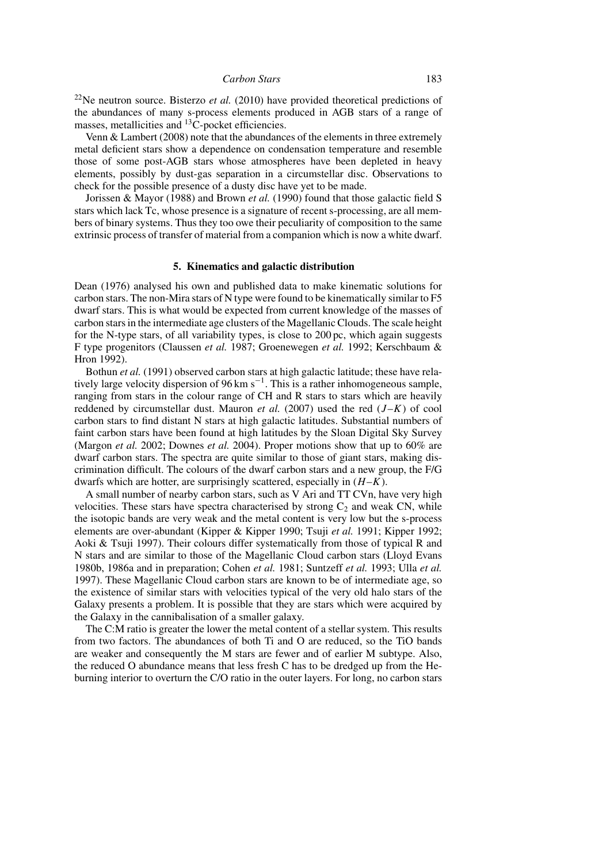22Ne neutron source. Bisterzo *et al.* (2010) have provided theoretical predictions of the abundances of many s-process elements produced in AGB stars of a range of masses, metallicities and <sup>13</sup>C-pocket efficiencies.

Venn & Lambert (2008) note that the abundances of the elements in three extremely metal deficient stars show a dependence on condensation temperature and resemble those of some post-AGB stars whose atmospheres have been depleted in heavy elements, possibly by dust-gas separation in a circumstellar disc. Observations to check for the possible presence of a dusty disc have yet to be made.

Jorissen & Mayor (1988) and Brown *et al.* (1990) found that those galactic field S stars which lack Tc, whose presence is a signature of recent s-processing, are all members of binary systems. Thus they too owe their peculiarity of composition to the same extrinsic process of transfer of material from a companion which is now a white dwarf.

### **5. Kinematics and galactic distribution**

Dean (1976) analysed his own and published data to make kinematic solutions for carbon stars. The non-Mira stars of N type were found to be kinematically similar to F5 dwarf stars. This is what would be expected from current knowledge of the masses of carbon stars in the intermediate age clusters of the Magellanic Clouds. The scale height for the N-type stars, of all variability types, is close to 200 pc, which again suggests F type progenitors (Claussen *et al.* 1987; Groenewegen *et al.* 1992; Kerschbaum & Hron 1992).

Bothun *et al.* (1991) observed carbon stars at high galactic latitude; these have relatively large velocity dispersion of 96 km s<sup>-1</sup>. This is a rather inhomogeneous sample, ranging from stars in the colour range of CH and R stars to stars which are heavily reddened by circumstellar dust. Mauron *et al.* (2007) used the red  $(J-K)$  of cool carbon stars to find distant N stars at high galactic latitudes. Substantial numbers of faint carbon stars have been found at high latitudes by the Sloan Digital Sky Survey (Margon *et al.* 2002; Downes *et al.* 2004). Proper motions show that up to 60% are dwarf carbon stars. The spectra are quite similar to those of giant stars, making discrimination difficult. The colours of the dwarf carbon stars and a new group, the F/G dwarfs which are hotter, are surprisingly scattered, especially in  $(H-K)$ .

A small number of nearby carbon stars, such as V Ari and TT CVn, have very high velocities. These stars have spectra characterised by strong  $C_2$  and weak CN, while the isotopic bands are very weak and the metal content is very low but the s-process elements are over-abundant (Kipper & Kipper 1990; Tsuji *et al.* 1991; Kipper 1992; Aoki & Tsuji 1997). Their colours differ systematically from those of typical R and N stars and are similar to those of the Magellanic Cloud carbon stars (Lloyd Evans 1980b, 1986a and in preparation; Cohen *et al.* 1981; Suntzeff *et al.* 1993; Ulla *et al.* 1997). These Magellanic Cloud carbon stars are known to be of intermediate age, so the existence of similar stars with velocities typical of the very old halo stars of the Galaxy presents a problem. It is possible that they are stars which were acquired by the Galaxy in the cannibalisation of a smaller galaxy.

The C:M ratio is greater the lower the metal content of a stellar system. This results from two factors. The abundances of both Ti and O are reduced, so the TiO bands are weaker and consequently the M stars are fewer and of earlier M subtype. Also, the reduced O abundance means that less fresh C has to be dredged up from the Heburning interior to overturn the C/O ratio in the outer layers. For long, no carbon stars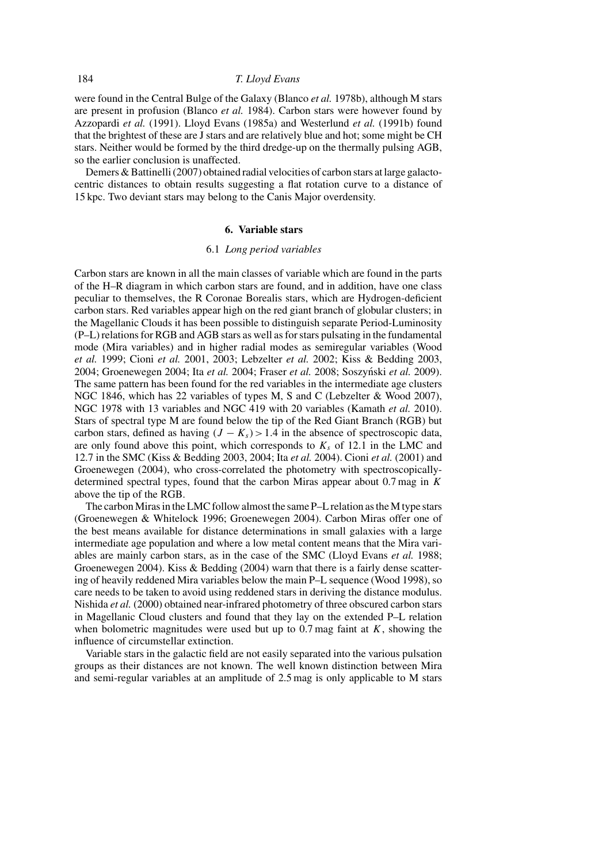were found in the Central Bulge of the Galaxy (Blanco *et al.* 1978b), although M stars are present in profusion (Blanco *et al.* 1984). Carbon stars were however found by Azzopardi *et al.* (1991). Lloyd Evans (1985a) and Westerlund *et al.* (1991b) found that the brightest of these are J stars and are relatively blue and hot; some might be CH stars. Neither would be formed by the third dredge-up on the thermally pulsing AGB, so the earlier conclusion is unaffected.

Demers & Battinelli (2007) obtained radial velocities of carbon stars at large galactocentric distances to obtain results suggesting a flat rotation curve to a distance of 15 kpc. Two deviant stars may belong to the Canis Major overdensity.

### **6. Variable stars**

### 6.1 *Long period variables*

Carbon stars are known in all the main classes of variable which are found in the parts of the H–R diagram in which carbon stars are found, and in addition, have one class peculiar to themselves, the R Coronae Borealis stars, which are Hydrogen-deficient carbon stars. Red variables appear high on the red giant branch of globular clusters; in the Magellanic Clouds it has been possible to distinguish separate Period-Luminosity (P–L) relations for RGB and AGB stars as well as for stars pulsating in the fundamental mode (Mira variables) and in higher radial modes as semiregular variables (Wood *et al.* 1999; Cioni *et al.* 2001, 2003; Lebzelter *et al.* 2002; Kiss & Bedding 2003, 2004; Groenewegen 2004; Ita *et al.* 2004; Fraser *et al.* 2008; Soszyński *et al.* 2009). The same pattern has been found for the red variables in the intermediate age clusters NGC 1846, which has 22 variables of types M, S and C (Lebzelter & Wood 2007), NGC 1978 with 13 variables and NGC 419 with 20 variables (Kamath *et al.* 2010). Stars of spectral type M are found below the tip of the Red Giant Branch (RGB) but carbon stars, defined as having  $(J - K_s) > 1.4$  in the absence of spectroscopic data, are only found above this point, which corresponds to  $K<sub>s</sub>$  of 12.1 in the LMC and 12.7 in the SMC (Kiss & Bedding 2003, 2004; Ita *et al.* 2004). Cioni *et al.* (2001) and Groenewegen (2004), who cross-correlated the photometry with spectroscopicallydetermined spectral types, found that the carbon Miras appear about  $0.7$  mag in K above the tip of the RGB.

The carbon Miras in the LMC follow almost the same P–L relation as the M type stars (Groenewegen & Whitelock 1996; Groenewegen 2004). Carbon Miras offer one of the best means available for distance determinations in small galaxies with a large intermediate age population and where a low metal content means that the Mira variables are mainly carbon stars, as in the case of the SMC (Lloyd Evans *et al.* 1988; Groenewegen 2004). Kiss & Bedding (2004) warn that there is a fairly dense scattering of heavily reddened Mira variables below the main P–L sequence (Wood 1998), so care needs to be taken to avoid using reddened stars in deriving the distance modulus. Nishida *et al.* (2000) obtained near-infrared photometry of three obscured carbon stars in Magellanic Cloud clusters and found that they lay on the extended P–L relation when bolometric magnitudes were used but up to  $0.7$  mag faint at  $K$ , showing the influence of circumstellar extinction.

Variable stars in the galactic field are not easily separated into the various pulsation groups as their distances are not known. The well known distinction between Mira and semi-regular variables at an amplitude of 2.5 mag is only applicable to M stars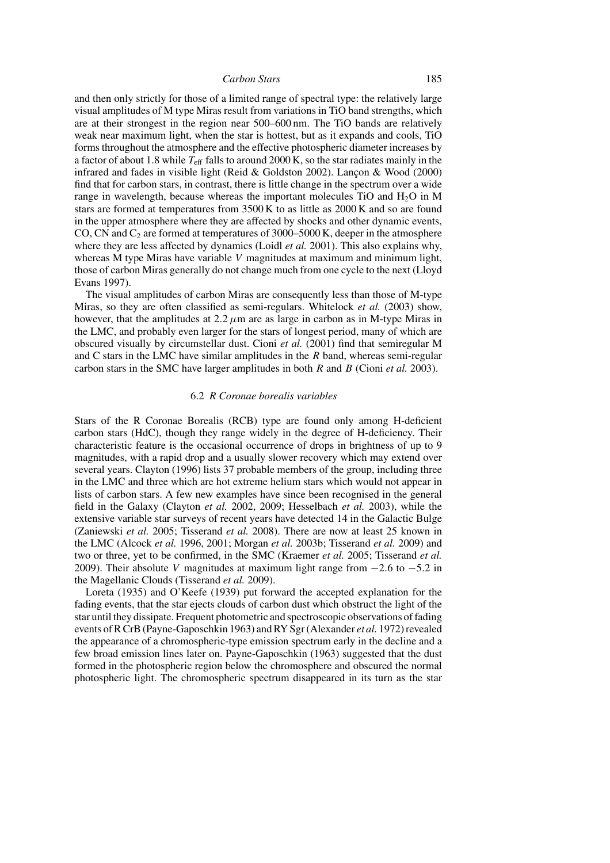and then only strictly for those of a limited range of spectral type: the relatively large visual amplitudes of M type Miras result from variations in TiO band strengths, which are at their strongest in the region near 500–600 nm. The TiO bands are relatively weak near maximum light, when the star is hottest, but as it expands and cools, TiO forms throughout the atmosphere and the effective photospheric diameter increases by a factor of about 1.8 while  $T_{\text{eff}}$  falls to around 2000 K, so the star radiates mainly in the infrared and fades in visible light (Reid & Goldston 2002). Lancon & Wood  $(2000)$ find that for carbon stars, in contrast, there is little change in the spectrum over a wide range in wavelength, because whereas the important molecules TiO and  $H_2O$  in M stars are formed at temperatures from 3500 K to as little as 2000 K and so are found in the upper atmosphere where they are affected by shocks and other dynamic events, CO, CN and  $C_2$  are formed at temperatures of 3000–5000 K, deeper in the atmosphere where they are less affected by dynamics (Loidl *et al.* 2001). This also explains why, whereas M type Miras have variable V magnitudes at maximum and minimum light, those of carbon Miras generally do not change much from one cycle to the next (Lloyd Evans 1997).

The visual amplitudes of carbon Miras are consequently less than those of M-type Miras, so they are often classified as semi-regulars. Whitelock *et al.* (2003) show, however, that the amplitudes at  $2.2 \mu m$  are as large in carbon as in M-type Miras in the LMC, and probably even larger for the stars of longest period, many of which are obscured visually by circumstellar dust. Cioni *et al.* (2001) find that semiregular M and C stars in the LMC have similar amplitudes in the  $R$  band, whereas semi-regular carbon stars in the SMC have larger amplitudes in both R and B (Cioni *et al.* 2003).

### 6.2 *R Coronae borealis variables*

Stars of the R Coronae Borealis (RCB) type are found only among H-deficient carbon stars (HdC), though they range widely in the degree of H-deficiency. Their characteristic feature is the occasional occurrence of drops in brightness of up to 9 magnitudes, with a rapid drop and a usually slower recovery which may extend over several years. Clayton (1996) lists 37 probable members of the group, including three in the LMC and three which are hot extreme helium stars which would not appear in lists of carbon stars. A few new examples have since been recognised in the general field in the Galaxy (Clayton *et al.* 2002, 2009; Hesselbach *et al.* 2003), while the extensive variable star surveys of recent years have detected 14 in the Galactic Bulge (Zaniewski *et al.* 2005; Tisserand *et al.* 2008). There are now at least 25 known in the LMC (Alcock *et al.* 1996, 2001; Morgan *et al.* 2003b; Tisserand *et al.* 2009) and two or three, yet to be confirmed, in the SMC (Kraemer *et al.* 2005; Tisserand *et al.* 2009). Their absolute V magnitudes at maximum light range from  $-2.6$  to  $-5.2$  in the Magellanic Clouds (Tisserand *et al.* 2009).

Loreta (1935) and O'Keefe (1939) put forward the accepted explanation for the fading events, that the star ejects clouds of carbon dust which obstruct the light of the star until they dissipate. Frequent photometric and spectroscopic observations of fading events of R CrB (Payne-Gaposchkin 1963) and RY Sgr (Alexander *et al.* 1972) revealed the appearance of a chromospheric-type emission spectrum early in the decline and a few broad emission lines later on. Payne-Gaposchkin (1963) suggested that the dust formed in the photospheric region below the chromosphere and obscured the normal photospheric light. The chromospheric spectrum disappeared in its turn as the star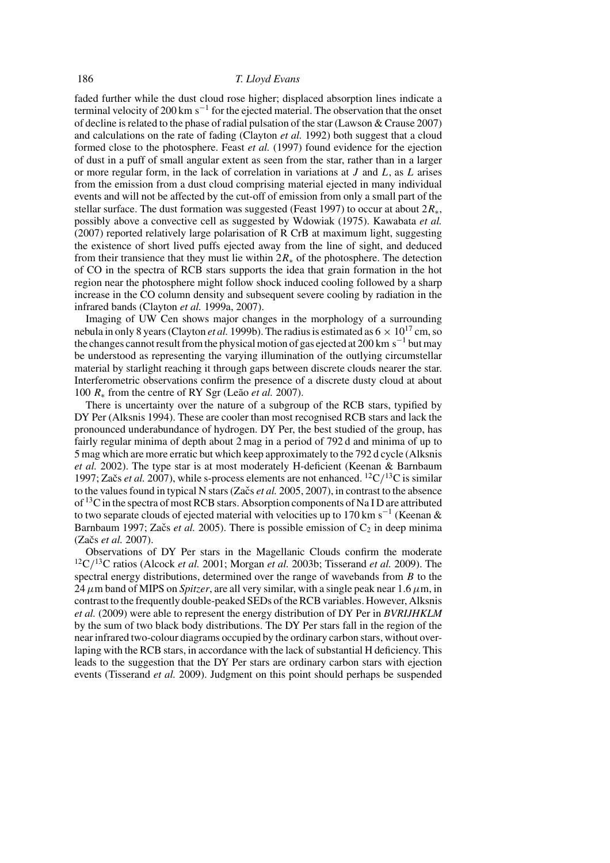faded further while the dust cloud rose higher; displaced absorption lines indicate a terminal velocity of 200 km s<sup> $-1$ </sup> for the ejected material. The observation that the onset of decline is related to the phase of radial pulsation of the star (Lawson & Crause 2007) and calculations on the rate of fading (Clayton *et al.* 1992) both suggest that a cloud formed close to the photosphere. Feast *et al.* (1997) found evidence for the ejection of dust in a puff of small angular extent as seen from the star, rather than in a larger or more regular form, in the lack of correlation in variations at  $J$  and  $L$ , as  $L$  arises from the emission from a dust cloud comprising material ejected in many individual events and will not be affected by the cut-off of emission from only a small part of the stellar surface. The dust formation was suggested (Feast 1997) to occur at about  $2R_*$ , possibly above a convective cell as suggested by Wdowiak (1975). Kawabata *et al.* (2007) reported relatively large polarisation of R CrB at maximum light, suggesting the existence of short lived puffs ejected away from the line of sight, and deduced from their transience that they must lie within  $2R_*$  of the photosphere. The detection of CO in the spectra of RCB stars supports the idea that grain formation in the hot region near the photosphere might follow shock induced cooling followed by a sharp increase in the CO column density and subsequent severe cooling by radiation in the infrared bands (Clayton *et al.* 1999a, 2007).

Imaging of UW Cen shows major changes in the morphology of a surrounding nebula in only 8 years (Clayton *et al.* 1999b). The radius is estimated as  $6 \times 10^{17}$  cm, so the changes cannot result from the physical motion of gas ejected at 200 km s<sup>-1</sup> but may be understood as representing the varying illumination of the outlying circumstellar material by starlight reaching it through gaps between discrete clouds nearer the star. Interferometric observations confirm the presence of a discrete dusty cloud at about 100  $R_*$  from the centre of RY Sgr (Leão *et al.* 2007).

There is uncertainty over the nature of a subgroup of the RCB stars, typified by DY Per (Alksnis 1994). These are cooler than most recognised RCB stars and lack the pronounced underabundance of hydrogen. DY Per, the best studied of the group, has fairly regular minima of depth about 2 mag in a period of 792 d and minima of up to 5 mag which are more erratic but which keep approximately to the 792 d cycle (Alksnis *et al.* 2002). The type star is at most moderately H-deficient (Keenan & Barnbaum 1997; Začs *et al.* 2007), while s-process elements are not enhanced. <sup>12</sup>C/<sup>13</sup>C is similar to the values found in typical N stars (Začs *et al.* 2005, 2007), in contrast to the absence of  $^{13}$ C in the spectra of most RCB stars. Absorption components of Na I D are attributed to two separate clouds of ejected material with velocities up to 170 km s<sup>-1</sup> (Keenan & Barnbaum 1997; Začs *et al.* 2005). There is possible emission of  $C_2$  in deep minima (Začs et al. 2007).

Observations of DY Per stars in the Magellanic Clouds confirm the moderate 12C/13C ratios (Alcock *et al.* 2001; Morgan *et al.* 2003b; Tisserand *et al.* 2009). The spectral energy distributions, determined over the range of wavebands from  $B$  to the 24  $\mu$ m band of MIPS on *Spitzer*, are all very similar, with a single peak near 1.6  $\mu$ m, in contrast to the frequently double-peaked SEDs of the RCB variables. However, Alksnis *et al.* (2009) were able to represent the energy distribution of DY Per in *BVRIJHKLM* by the sum of two black body distributions. The DY Per stars fall in the region of the near infrared two-colour diagrams occupied by the ordinary carbon stars, without overlaping with the RCB stars, in accordance with the lack of substantial H deficiency. This leads to the suggestion that the DY Per stars are ordinary carbon stars with ejection events (Tisserand *et al.* 2009). Judgment on this point should perhaps be suspended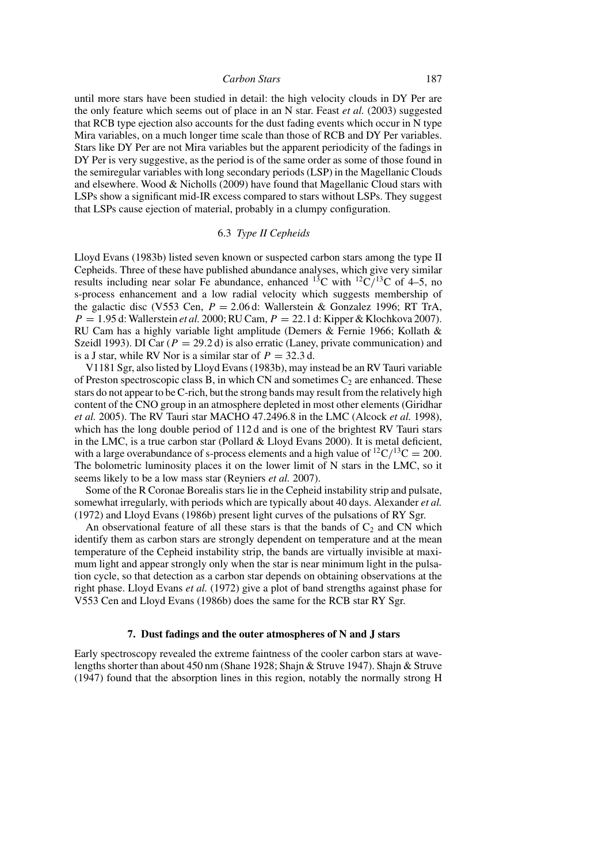until more stars have been studied in detail: the high velocity clouds in DY Per are the only feature which seems out of place in an N star. Feast *et al.* (2003) suggested that RCB type ejection also accounts for the dust fading events which occur in N type Mira variables, on a much longer time scale than those of RCB and DY Per variables. Stars like DY Per are not Mira variables but the apparent periodicity of the fadings in DY Per is very suggestive, as the period is of the same order as some of those found in the semiregular variables with long secondary periods (LSP) in the Magellanic Clouds and elsewhere. Wood & Nicholls (2009) have found that Magellanic Cloud stars with LSPs show a significant mid-IR excess compared to stars without LSPs. They suggest that LSPs cause ejection of material, probably in a clumpy configuration.

# 6.3 *Type II Cepheids*

Lloyd Evans (1983b) listed seven known or suspected carbon stars among the type II Cepheids. Three of these have published abundance analyses, which give very similar results including near solar Fe abundance, enhanced <sup>13</sup>C with <sup>12</sup>C/<sup>13</sup>C of 4–5, no s-process enhancement and a low radial velocity which suggests membership of the galactic disc (V553 Cen,  $P = 2.06$  d: Wallerstein & Gonzalez 1996; RT TrA,  $P = 1.95$  d: Wallerstein *et al.* 2000; RU Cam,  $P = 22.1$  d: Kipper & Klochkova 2007). RU Cam has a highly variable light amplitude (Demers & Fernie 1966; Kollath & Szeidl 1993). DI Car ( $P = 29.2$  d) is also erratic (Laney, private communication) and is a J star, while RV Nor is a similar star of  $P = 32.3$  d.

V1181 Sgr, also listed by Lloyd Evans (1983b), may instead be an RV Tauri variable of Preston spectroscopic class B, in which CN and sometimes  $C_2$  are enhanced. These stars do not appear to be C-rich, but the strong bands may result from the relatively high content of the CNO group in an atmosphere depleted in most other elements (Giridhar *et al.* 2005). The RV Tauri star MACHO 47.2496.8 in the LMC (Alcock *et al.* 1998), which has the long double period of 112 d and is one of the brightest RV Tauri stars in the LMC, is a true carbon star (Pollard & Lloyd Evans 2000). It is metal deficient, with a large overabundance of s-process elements and a high value of  ${}^{12}C/{}^{13}C = 200$ . The bolometric luminosity places it on the lower limit of N stars in the LMC, so it seems likely to be a low mass star (Reyniers *et al.* 2007).

Some of the R Coronae Borealis stars lie in the Cepheid instability strip and pulsate, somewhat irregularly, with periods which are typically about 40 days. Alexander *et al.* (1972) and Lloyd Evans (1986b) present light curves of the pulsations of RY Sgr.

An observational feature of all these stars is that the bands of  $C_2$  and CN which identify them as carbon stars are strongly dependent on temperature and at the mean temperature of the Cepheid instability strip, the bands are virtually invisible at maximum light and appear strongly only when the star is near minimum light in the pulsation cycle, so that detection as a carbon star depends on obtaining observations at the right phase. Lloyd Evans *et al.* (1972) give a plot of band strengths against phase for V553 Cen and Lloyd Evans (1986b) does the same for the RCB star RY Sgr.

### **7. Dust fadings and the outer atmospheres of N and J stars**

Early spectroscopy revealed the extreme faintness of the cooler carbon stars at wavelengths shorter than about 450 nm (Shane 1928; Shajn & Struve 1947). Shajn & Struve (1947) found that the absorption lines in this region, notably the normally strong H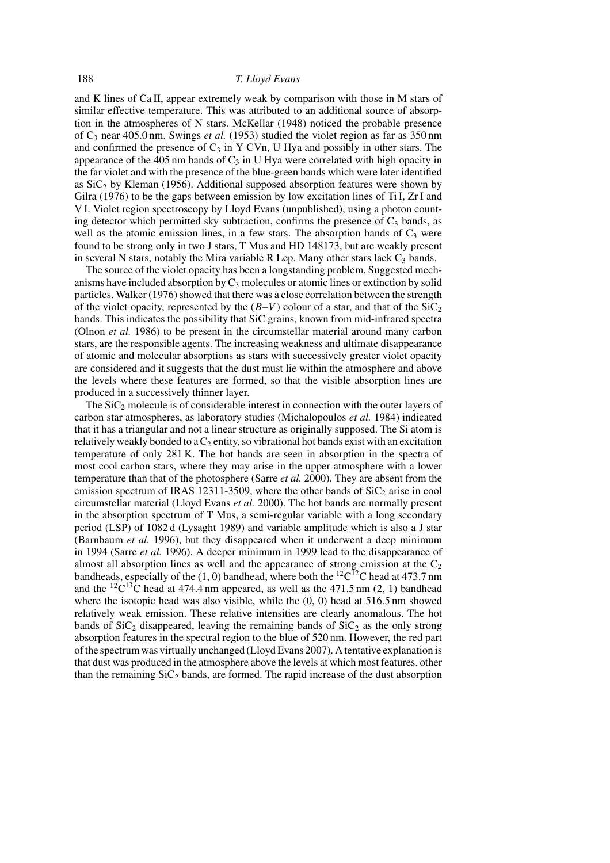and K lines of Ca II, appear extremely weak by comparison with those in M stars of similar effective temperature. This was attributed to an additional source of absorption in the atmospheres of N stars. McKellar (1948) noticed the probable presence of  $C_3$  near 405.0 nm. Swings *et al.* (1953) studied the violet region as far as  $350 \text{ nm}$ and confirmed the presence of  $C_3$  in Y CVn, U Hya and possibly in other stars. The appearance of the 405 nm bands of  $C_3$  in U Hya were correlated with high opacity in the far violet and with the presence of the blue-green bands which were later identified as  $SiC<sub>2</sub>$  by Kleman (1956). Additional supposed absorption features were shown by Gilra (1976) to be the gaps between emission by low excitation lines of Ti I, Zr I and V I. Violet region spectroscopy by Lloyd Evans (unpublished), using a photon counting detector which permitted sky subtraction, confirms the presence of  $C_3$  bands, as well as the atomic emission lines, in a few stars. The absorption bands of  $C_3$  were found to be strong only in two J stars, T Mus and HD 148173, but are weakly present in several N stars, notably the Mira variable R Lep. Many other stars lack  $C_3$  bands.

The source of the violet opacity has been a longstanding problem. Suggested mechanisms have included absorption by  $C_3$  molecules or atomic lines or extinction by solid particles. Walker (1976) showed that there was a close correlation between the strength of the violet opacity, represented by the  $(B-V)$  colour of a star, and that of the SiC<sub>2</sub> bands. This indicates the possibility that SiC grains, known from mid-infrared spectra (Olnon *et al.* 1986) to be present in the circumstellar material around many carbon stars, are the responsible agents. The increasing weakness and ultimate disappearance of atomic and molecular absorptions as stars with successively greater violet opacity are considered and it suggests that the dust must lie within the atmosphere and above the levels where these features are formed, so that the visible absorption lines are produced in a successively thinner layer.

The  $\text{SiC}_2$  molecule is of considerable interest in connection with the outer layers of carbon star atmospheres, as laboratory studies (Michalopoulos *et al.* 1984) indicated that it has a triangular and not a linear structure as originally supposed. The Si atom is relatively weakly bonded to a  $C_2$  entity, so vibrational hot bands exist with an excitation temperature of only 281 K. The hot bands are seen in absorption in the spectra of most cool carbon stars, where they may arise in the upper atmosphere with a lower temperature than that of the photosphere (Sarre *et al.* 2000). They are absent from the emission spectrum of IRAS 12311-3509, where the other bands of  $\text{SiC}_2$  arise in cool circumstellar material (Lloyd Evans *et al.* 2000). The hot bands are normally present in the absorption spectrum of T Mus, a semi-regular variable with a long secondary period (LSP) of 1082 d (Lysaght 1989) and variable amplitude which is also a J star (Barnbaum *et al.* 1996), but they disappeared when it underwent a deep minimum in 1994 (Sarre *et al.* 1996). A deeper minimum in 1999 lead to the disappearance of almost all absorption lines as well and the appearance of strong emission at the  $C_2$ bandheads, especially of the (1, 0) bandhead, where both the <sup>12</sup>C<sup>12</sup>C head at 473.7 nm and the <sup>12</sup>C<sup>13</sup>C head at 474.4 nm appeared, as well as the 471.5 nm (2, 1) bandhead where the isotopic head was also visible, while the  $(0, 0)$  head at 516.5 nm showed relatively weak emission. These relative intensities are clearly anomalous. The hot bands of  $\text{SiC}_2$  disappeared, leaving the remaining bands of  $\text{SiC}_2$  as the only strong absorption features in the spectral region to the blue of 520 nm. However, the red part of the spectrum was virtually unchanged (Lloyd Evans 2007). A tentative explanation is that dust was produced in the atmosphere above the levels at which most features, other than the remaining  $SiC_2$  bands, are formed. The rapid increase of the dust absorption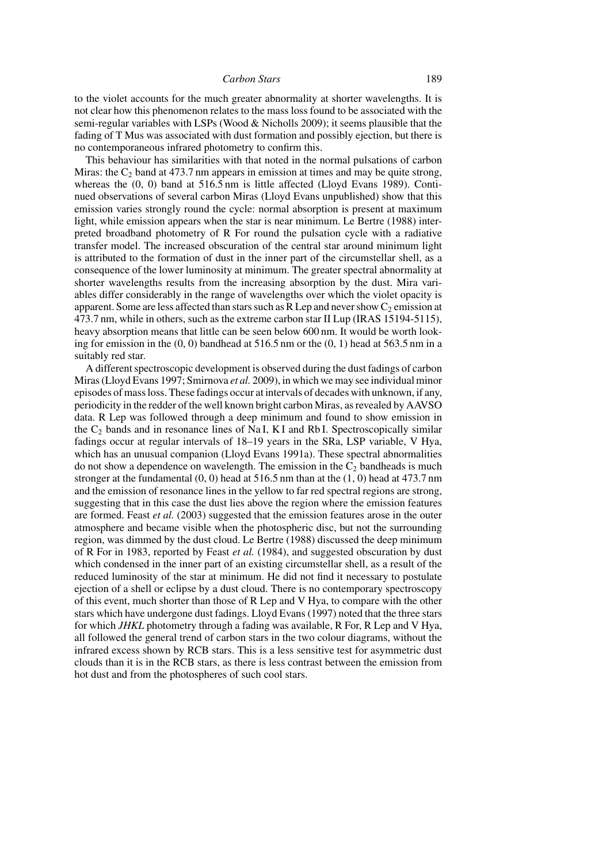to the violet accounts for the much greater abnormality at shorter wavelengths. It is not clear how this phenomenon relates to the mass loss found to be associated with the semi-regular variables with LSPs (Wood & Nicholls 2009); it seems plausible that the fading of T Mus was associated with dust formation and possibly ejection, but there is no contemporaneous infrared photometry to confirm this.

This behaviour has similarities with that noted in the normal pulsations of carbon Miras: the  $C_2$  band at 473.7 nm appears in emission at times and may be quite strong, whereas the  $(0, 0)$  band at 516.5 nm is little affected (Lloyd Evans 1989). Continued observations of several carbon Miras (Lloyd Evans unpublished) show that this emission varies strongly round the cycle: normal absorption is present at maximum light, while emission appears when the star is near minimum. Le Bertre (1988) interpreted broadband photometry of R For round the pulsation cycle with a radiative transfer model. The increased obscuration of the central star around minimum light is attributed to the formation of dust in the inner part of the circumstellar shell, as a consequence of the lower luminosity at minimum. The greater spectral abnormality at shorter wavelengths results from the increasing absorption by the dust. Mira variables differ considerably in the range of wavelengths over which the violet opacity is apparent. Some are less affected than stars such as R Lep and never show  $C_2$  emission at 473.7 nm, while in others, such as the extreme carbon star II Lup (IRAS 15194-5115), heavy absorption means that little can be seen below 600 nm. It would be worth looking for emission in the  $(0, 0)$  bandhead at 516.5 nm or the  $(0, 1)$  head at 563.5 nm in a suitably red star.

A different spectroscopic development is observed during the dust fadings of carbon Miras (Lloyd Evans 1997; Smirnova *et al.* 2009), in which we may see individual minor episodes of mass loss. These fadings occur at intervals of decades with unknown, if any, periodicity in the redder of the well known bright carbon Miras, as revealed by AAVSO data. R Lep was followed through a deep minimum and found to show emission in the  $C_2$  bands and in resonance lines of Na I, K I and Rb I. Spectroscopically similar fadings occur at regular intervals of 18–19 years in the SRa, LSP variable, V Hya, which has an unusual companion (Lloyd Evans 1991a). These spectral abnormalities do not show a dependence on wavelength. The emission in the  $C_2$  bandheads is much stronger at the fundamental  $(0, 0)$  head at 516.5 nm than at the  $(1, 0)$  head at 473.7 nm and the emission of resonance lines in the yellow to far red spectral regions are strong, suggesting that in this case the dust lies above the region where the emission features are formed. Feast *et al.* (2003) suggested that the emission features arose in the outer atmosphere and became visible when the photospheric disc, but not the surrounding region, was dimmed by the dust cloud. Le Bertre (1988) discussed the deep minimum of R For in 1983, reported by Feast *et al.* (1984), and suggested obscuration by dust which condensed in the inner part of an existing circumstellar shell, as a result of the reduced luminosity of the star at minimum. He did not find it necessary to postulate ejection of a shell or eclipse by a dust cloud. There is no contemporary spectroscopy of this event, much shorter than those of R Lep and V Hya, to compare with the other stars which have undergone dust fadings. Lloyd Evans (1997) noted that the three stars for which *JHKL* photometry through a fading was available, R For, R Lep and V Hya, all followed the general trend of carbon stars in the two colour diagrams, without the infrared excess shown by RCB stars. This is a less sensitive test for asymmetric dust clouds than it is in the RCB stars, as there is less contrast between the emission from hot dust and from the photospheres of such cool stars.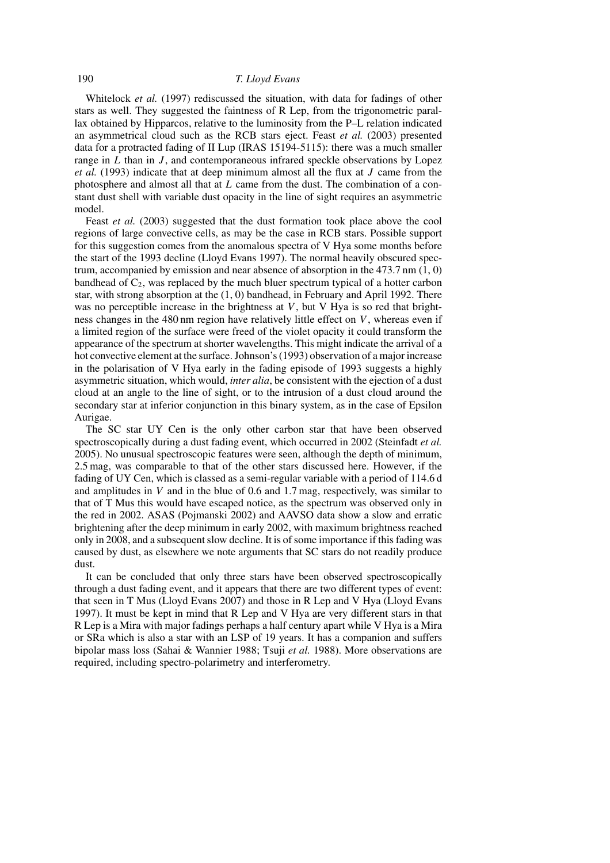Whitelock *et al.* (1997) rediscussed the situation, with data for fadings of other stars as well. They suggested the faintness of R Lep, from the trigonometric parallax obtained by Hipparcos, relative to the luminosity from the P–L relation indicated an asymmetrical cloud such as the RCB stars eject. Feast *et al.* (2003) presented data for a protracted fading of II Lup (IRAS 15194-5115): there was a much smaller range in  $L$  than in  $J$ , and contemporaneous infrared speckle observations by Lopez *et al.* (1993) indicate that at deep minimum almost all the flux at J came from the photosphere and almost all that at  $L$  came from the dust. The combination of a constant dust shell with variable dust opacity in the line of sight requires an asymmetric model.

Feast *et al.* (2003) suggested that the dust formation took place above the cool regions of large convective cells, as may be the case in RCB stars. Possible support for this suggestion comes from the anomalous spectra of V Hya some months before the start of the 1993 decline (Lloyd Evans 1997). The normal heavily obscured spectrum, accompanied by emission and near absence of absorption in the 473.7 nm (1, 0) bandhead of  $C_2$ , was replaced by the much bluer spectrum typical of a hotter carbon star, with strong absorption at the (1, 0) bandhead, in February and April 1992. There was no perceptible increase in the brightness at  $V$ , but  $V$  Hya is so red that brightness changes in the  $480 \text{ nm}$  region have relatively little effect on V, whereas even if a limited region of the surface were freed of the violet opacity it could transform the appearance of the spectrum at shorter wavelengths. This might indicate the arrival of a hot convective element at the surface. Johnson's (1993) observation of a major increase in the polarisation of V Hya early in the fading episode of 1993 suggests a highly asymmetric situation, which would, *inter alia*, be consistent with the ejection of a dust cloud at an angle to the line of sight, or to the intrusion of a dust cloud around the secondary star at inferior conjunction in this binary system, as in the case of Epsilon Aurigae.

The SC star UY Cen is the only other carbon star that have been observed spectroscopically during a dust fading event, which occurred in 2002 (Steinfadt *et al.* 2005). No unusual spectroscopic features were seen, although the depth of minimum, 2.5 mag, was comparable to that of the other stars discussed here. However, if the fading of UY Cen, which is classed as a semi-regular variable with a period of 114.6 d and amplitudes in  $V$  and in the blue of 0.6 and 1.7 mag, respectively, was similar to that of T Mus this would have escaped notice, as the spectrum was observed only in the red in 2002. ASAS (Pojmanski 2002) and AAVSO data show a slow and erratic brightening after the deep minimum in early 2002, with maximum brightness reached only in 2008, and a subsequent slow decline. It is of some importance if this fading was caused by dust, as elsewhere we note arguments that SC stars do not readily produce dust.

It can be concluded that only three stars have been observed spectroscopically through a dust fading event, and it appears that there are two different types of event: that seen in T Mus (Lloyd Evans 2007) and those in R Lep and V Hya (Lloyd Evans 1997). It must be kept in mind that R Lep and V Hya are very different stars in that R Lep is a Mira with major fadings perhaps a half century apart while V Hya is a Mira or SRa which is also a star with an LSP of 19 years. It has a companion and suffers bipolar mass loss (Sahai & Wannier 1988; Tsuji *et al.* 1988). More observations are required, including spectro-polarimetry and interferometry.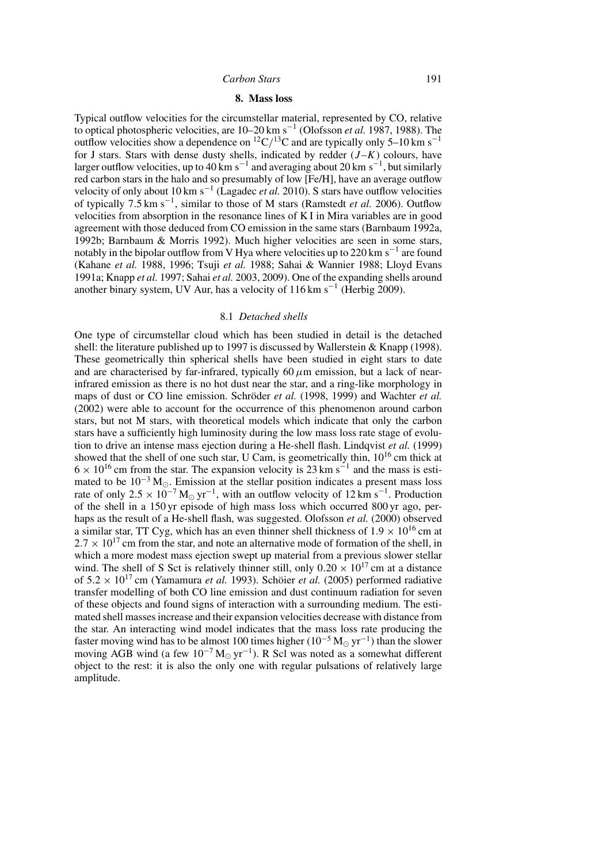### **8. Mass loss**

Typical outflow velocities for the circumstellar material, represented by CO, relative to optical photospheric velocities, are 10–20 km s−<sup>1</sup> (Olofsson *et al.* 1987, 1988). The outflow velocities show a dependence on <sup>12</sup>C/<sup>13</sup>C and are typically only 5–10 km s<sup>-1</sup> for J stars. Stars with dense dusty shells, indicated by redder  $(J-K)$  colours, have larger outflow velocities, up to 40 km s $^{-1}$  and averaging about 20 km s $^{-1}$ , but similarly red carbon stars in the halo and so presumably of low [Fe/H], have an average outflow velocity of only about 10 km s−<sup>1</sup> (Lagadec *et al.* 2010). S stars have outflow velocities of typically 7.5 km s−<sup>1</sup> , similar to those of M stars (Ramstedt *et al.* 2006). Outflow velocities from absorption in the resonance lines of K I in Mira variables are in good agreement with those deduced from CO emission in the same stars (Barnbaum 1992a, 1992b; Barnbaum & Morris 1992). Much higher velocities are seen in some stars, notably in the bipolar outflow from V Hya where velocities up to 220 km s<sup> $-1$ </sup> are found (Kahane *et al.* 1988, 1996; Tsuji *et al.* 1988; Sahai & Wannier 1988; Lloyd Evans 1991a; Knapp *et al.* 1997; Sahai *et al.* 2003, 2009). One of the expanding shells around another binary system, UV Aur, has a velocity of  $116 \text{ km s}^{-1}$  (Herbig 2009).

#### 8.1 *Detached shells*

One type of circumstellar cloud which has been studied in detail is the detached shell: the literature published up to 1997 is discussed by Wallerstein & Knapp (1998). These geometrically thin spherical shells have been studied in eight stars to date and are characterised by far-infrared, typically  $60 \mu m$  emission, but a lack of nearinfrared emission as there is no hot dust near the star, and a ring-like morphology in maps of dust or CO line emission. Schröder et al. (1998, 1999) and Wachter et al. (2002) were able to account for the occurrence of this phenomenon around carbon stars, but not M stars, with theoretical models which indicate that only the carbon stars have a sufficiently high luminosity during the low mass loss rate stage of evolution to drive an intense mass ejection during a He-shell flash. Lindqvist *et al.* (1999) showed that the shell of one such star, U Cam, is geometrically thin,  $10^{16}$  cm thick at  $6 \times 10^{16}$  cm from the star. The expansion velocity is 23 km s<sup>-1</sup> and the mass is estimated to be  $10^{-3}$  M<sub>o</sub>. Emission at the stellar position indicates a present mass loss rate of only  $2.5 \times 10^{-7}$  M<sub>o</sub> yr<sup>-1</sup>, with an outflow velocity of 12 km s<sup>-1</sup>. Production of the shell in a 150 yr episode of high mass loss which occurred 800 yr ago, perhaps as the result of a He-shell flash, was suggested. Olofsson *et al.* (2000) observed a similar star, TT Cyg, which has an even thinner shell thickness of  $1.9 \times 10^{16}$  cm at  $2.7 \times 10^{17}$  cm from the star, and note an alternative mode of formation of the shell, in which a more modest mass ejection swept up material from a previous slower stellar wind. The shell of S Sct is relatively thinner still, only  $0.20 \times 10^{17}$  cm at a distance of  $5.2 \times 10^{17}$  cm (Yamamura *et al.* 1993). Schöier *et al.* (2005) performed radiative transfer modelling of both CO line emission and dust continuum radiation for seven of these objects and found signs of interaction with a surrounding medium. The estimated shell masses increase and their expansion velocities decrease with distance from the star. An interacting wind model indicates that the mass loss rate producing the faster moving wind has to be almost 100 times higher ( $10^{-5}$  M<sub> $\odot$ </sub> yr<sup>-1</sup>) than the slower moving AGB wind (a few  $10^{-7} M_{\odot} yr^{-1}$ ). R Scl was noted as a somewhat different object to the rest: it is also the only one with regular pulsations of relatively large amplitude.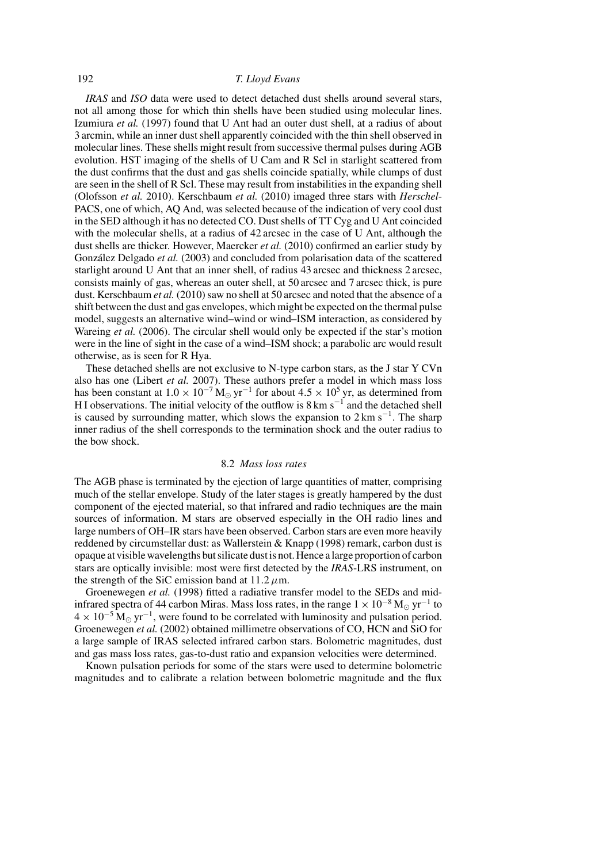# 192 *T. Lloyd Evans*

*IRAS* and *ISO* data were used to detect detached dust shells around several stars, not all among those for which thin shells have been studied using molecular lines. Izumiura *et al.* (1997) found that U Ant had an outer dust shell, at a radius of about 3 arcmin, while an inner dust shell apparently coincided with the thin shell observed in molecular lines. These shells might result from successive thermal pulses during AGB evolution. HST imaging of the shells of U Cam and R Scl in starlight scattered from the dust confirms that the dust and gas shells coincide spatially, while clumps of dust are seen in the shell of R Scl. These may result from instabilities in the expanding shell (Olofsson *et al.* 2010). Kerschbaum *et al.* (2010) imaged three stars with *Herschel*-PACS, one of which, AQ And, was selected because of the indication of very cool dust in the SED although it has no detected CO. Dust shells of TT Cyg and U Ant coincided with the molecular shells, at a radius of 42 arcsec in the case of U Ant, although the dust shells are thicker. However, Maercker *et al.* (2010) confirmed an earlier study by González Delgado *et al.* (2003) and concluded from polarisation data of the scattered starlight around U Ant that an inner shell, of radius 43 arcsec and thickness 2 arcsec, consists mainly of gas, whereas an outer shell, at 50 arcsec and 7 arcsec thick, is pure dust. Kerschbaum *et al.* (2010) saw no shell at 50 arcsec and noted that the absence of a shift between the dust and gas envelopes, which might be expected on the thermal pulse model, suggests an alternative wind–wind or wind–ISM interaction, as considered by Wareing *et al.* (2006). The circular shell would only be expected if the star's motion were in the line of sight in the case of a wind–ISM shock; a parabolic arc would result otherwise, as is seen for R Hya.

These detached shells are not exclusive to N-type carbon stars, as the J star Y CVn also has one (Libert *et al.* 2007). These authors prefer a model in which mass loss has been constant at  $1.0 \times 10^{-7}$  M<sub>☉</sub> yr<sup>-1</sup> for about  $4.5 \times 10^5$  yr, as determined from HI observations. The initial velocity of the outflow is  $8 \text{ km s}^{-1}$  and the detached shell is caused by surrounding matter, which slows the expansion to  $2 \text{ km s}^{-1}$ . The sharp inner radius of the shell corresponds to the termination shock and the outer radius to the bow shock.

# 8.2 *Mass loss rates*

The AGB phase is terminated by the ejection of large quantities of matter, comprising much of the stellar envelope. Study of the later stages is greatly hampered by the dust component of the ejected material, so that infrared and radio techniques are the main sources of information. M stars are observed especially in the OH radio lines and large numbers of OH–IR stars have been observed. Carbon stars are even more heavily reddened by circumstellar dust: as Wallerstein & Knapp (1998) remark, carbon dust is opaque at visible wavelengths but silicate dust is not. Hence a large proportion of carbon stars are optically invisible: most were first detected by the *IRAS*-LRS instrument, on the strength of the SiC emission band at  $11.2 \mu$ m.

Groenewegen *et al.* (1998) fitted a radiative transfer model to the SEDs and midinfrared spectra of 44 carbon Miras. Mass loss rates, in the range  $1 \times 10^{-8}$  M<sub>o</sub> yr<sup>-1</sup> to  $4 \times 10^{-5}$  M<sub>☉</sub> yr<sup>-1</sup>, were found to be correlated with luminosity and pulsation period. Groenewegen *et al.* (2002) obtained millimetre observations of CO, HCN and SiO for a large sample of IRAS selected infrared carbon stars. Bolometric magnitudes, dust and gas mass loss rates, gas-to-dust ratio and expansion velocities were determined.

Known pulsation periods for some of the stars were used to determine bolometric magnitudes and to calibrate a relation between bolometric magnitude and the flux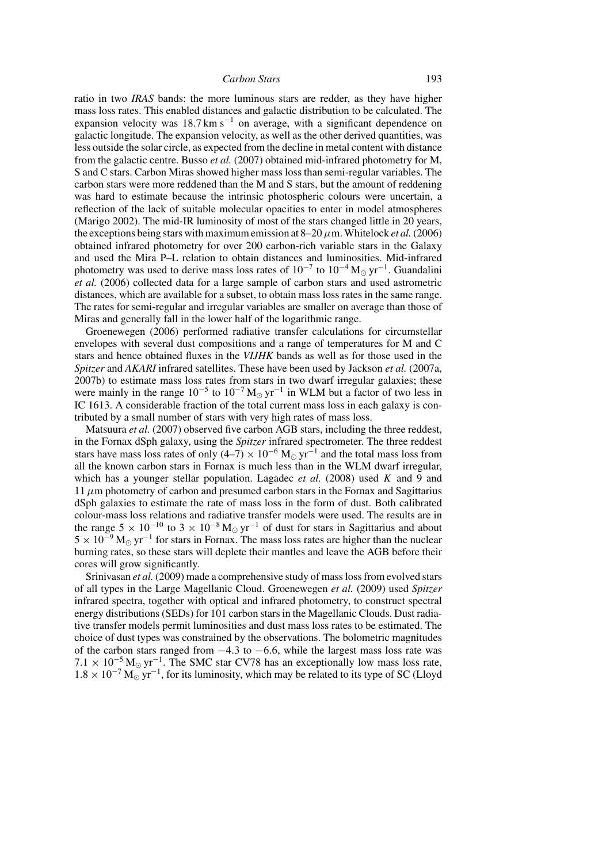ratio in two *IRAS* bands: the more luminous stars are redder, as they have higher mass loss rates. This enabled distances and galactic distribution to be calculated. The expansion velocity was  $18.7 \text{ km s}^{-1}$  on average, with a significant dependence on galactic longitude. The expansion velocity, as well as the other derived quantities, was less outside the solar circle, as expected from the decline in metal content with distance from the galactic centre. Busso *et al.* (2007) obtained mid-infrared photometry for M, S and C stars. Carbon Miras showed higher mass loss than semi-regular variables. The carbon stars were more reddened than the M and S stars, but the amount of reddening was hard to estimate because the intrinsic photospheric colours were uncertain, a reflection of the lack of suitable molecular opacities to enter in model atmospheres (Marigo 2002). The mid-IR luminosity of most of the stars changed little in 20 years, the exceptions being stars with maximum emission at  $8-20 \mu$ m. Whitelock *et al.* (2006) obtained infrared photometry for over 200 carbon-rich variable stars in the Galaxy and used the Mira P–L relation to obtain distances and luminosities. Mid-infrared photometry was used to derive mass loss rates of  $10^{-7}$  to  $10^{-4}$  M<sub>o</sub> yr<sup>-1</sup>. Guandalini *et al.* (2006) collected data for a large sample of carbon stars and used astrometric distances, which are available for a subset, to obtain mass loss rates in the same range. The rates for semi-regular and irregular variables are smaller on average than those of Miras and generally fall in the lower half of the logarithmic range.

Groenewegen (2006) performed radiative transfer calculations for circumstellar envelopes with several dust compositions and a range of temperatures for M and C stars and hence obtained fluxes in the *VIJHK* bands as well as for those used in the *Spitzer* and *AKARI* infrared satellites. These have been used by Jackson *et al.* (2007a, 2007b) to estimate mass loss rates from stars in two dwarf irregular galaxies; these were mainly in the range  $10^{-5}$  to  $10^{-7}$  M<sub>☉</sub> yr<sup>-1</sup> in WLM but a factor of two less in IC 1613. A considerable fraction of the total current mass loss in each galaxy is contributed by a small number of stars with very high rates of mass loss.

Matsuura *et al.* (2007) observed five carbon AGB stars, including the three reddest, in the Fornax dSph galaxy, using the *Spitzer* infrared spectrometer. The three reddest stars have mass loss rates of only  $(4-7) \times 10^{-6}$  M<sub>☉</sub> yr<sup>-1</sup> and the total mass loss from all the known carbon stars in Fornax is much less than in the WLM dwarf irregular, which has a younger stellar population. Lagadec  $et$  al. (2008) used  $K$  and 9 and  $11 \mu$ m photometry of carbon and presumed carbon stars in the Fornax and Sagittarius dSph galaxies to estimate the rate of mass loss in the form of dust. Both calibrated colour-mass loss relations and radiative transfer models were used. The results are in the range  $5 \times 10^{-10}$  to  $3 \times 10^{-8}$  M<sub>o</sub> yr<sup>-1</sup> of dust for stars in Sagittarius and about  $5 \times 10^{-9}$  M<sub>o</sub> yr<sup>-1</sup> for stars in Fornax. The mass loss rates are higher than the nuclear burning rates, so these stars will deplete their mantles and leave the AGB before their cores will grow significantly.

Srinivasan *et al.* (2009) made a comprehensive study of mass loss from evolved stars of all types in the Large Magellanic Cloud. Groenewegen *et al.* (2009) used *Spitzer* infrared spectra, together with optical and infrared photometry, to construct spectral energy distributions (SEDs) for 101 carbon stars in the Magellanic Clouds. Dust radiative transfer models permit luminosities and dust mass loss rates to be estimated. The choice of dust types was constrained by the observations. The bolometric magnitudes of the carbon stars ranged from  $-4.3$  to  $-6.6$ , while the largest mass loss rate was  $7.1 \times 10^{-5}$  M<sub>☉</sub> yr<sup>-1</sup>. The SMC star CV78 has an exceptionally low mass loss rate,  $1.8 \times 10^{-7}$  M<sub> $\odot$ </sub> yr<sup>-1</sup>, for its luminosity, which may be related to its type of SC (Lloyd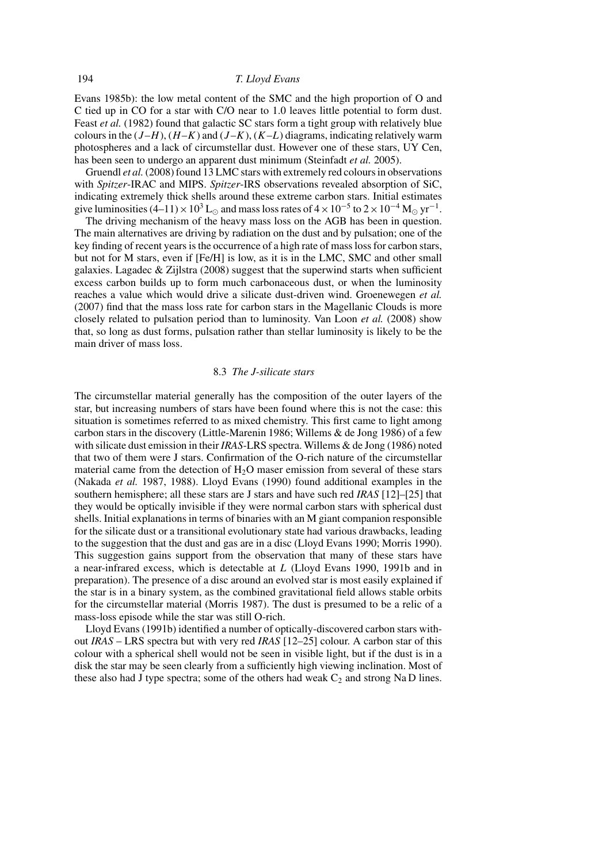Evans 1985b): the low metal content of the SMC and the high proportion of O and C tied up in CO for a star with C/O near to 1.0 leaves little potential to form dust. Feast *et al.* (1982) found that galactic SC stars form a tight group with relatively blue colours in the  $(J-H)$ ,  $(H-K)$  and  $(J-K)$ ,  $(K-L)$  diagrams, indicating relatively warm photospheres and a lack of circumstellar dust. However one of these stars, UY Cen, has been seen to undergo an apparent dust minimum (Steinfadt *et al.* 2005).

Gruendl *et al.*(2008) found 13 LMC stars with extremely red colours in observations with *Spitzer*-IRAC and MIPS. *Spitzer*-IRS observations revealed absorption of SiC, indicating extremely thick shells around these extreme carbon stars. Initial estimates give luminosities  $(4-11) \times 10^3$  L<sub>☉</sub> and mass loss rates of  $4 \times 10^{-5}$  to  $2 \times 10^{-4}$  M<sub>☉</sub> yr<sup>-1</sup>.

The driving mechanism of the heavy mass loss on the AGB has been in question. The main alternatives are driving by radiation on the dust and by pulsation; one of the key finding of recent years is the occurrence of a high rate of mass loss for carbon stars, but not for M stars, even if [Fe/H] is low, as it is in the LMC, SMC and other small galaxies. Lagadec  $\&$  Zijlstra (2008) suggest that the superwind starts when sufficient excess carbon builds up to form much carbonaceous dust, or when the luminosity reaches a value which would drive a silicate dust-driven wind. Groenewegen *et al.* (2007) find that the mass loss rate for carbon stars in the Magellanic Clouds is more closely related to pulsation period than to luminosity. Van Loon *et al.* (2008) show that, so long as dust forms, pulsation rather than stellar luminosity is likely to be the main driver of mass loss.

### 8.3 *The J-silicate stars*

The circumstellar material generally has the composition of the outer layers of the star, but increasing numbers of stars have been found where this is not the case: this situation is sometimes referred to as mixed chemistry. This first came to light among carbon stars in the discovery (Little-Marenin 1986; Willems & de Jong 1986) of a few with silicate dust emission in their *IRAS*-LRS spectra. Willems & de Jong (1986) noted that two of them were J stars. Confirmation of the O-rich nature of the circumstellar material came from the detection of  $H<sub>2</sub>O$  maser emission from several of these stars (Nakada *et al.* 1987, 1988). Lloyd Evans (1990) found additional examples in the southern hemisphere; all these stars are J stars and have such red *IRAS* [12]–[25] that they would be optically invisible if they were normal carbon stars with spherical dust shells. Initial explanations in terms of binaries with an M giant companion responsible for the silicate dust or a transitional evolutionary state had various drawbacks, leading to the suggestion that the dust and gas are in a disc (Lloyd Evans 1990; Morris 1990). This suggestion gains support from the observation that many of these stars have a near-infrared excess, which is detectable at L (Lloyd Evans 1990, 1991b and in preparation). The presence of a disc around an evolved star is most easily explained if the star is in a binary system, as the combined gravitational field allows stable orbits for the circumstellar material (Morris 1987). The dust is presumed to be a relic of a mass-loss episode while the star was still O-rich.

Lloyd Evans (1991b) identified a number of optically-discovered carbon stars without *IRAS* – LRS spectra but with very red *IRAS* [12–25] colour. A carbon star of this colour with a spherical shell would not be seen in visible light, but if the dust is in a disk the star may be seen clearly from a sufficiently high viewing inclination. Most of these also had J type spectra; some of the others had weak  $C_2$  and strong Na D lines.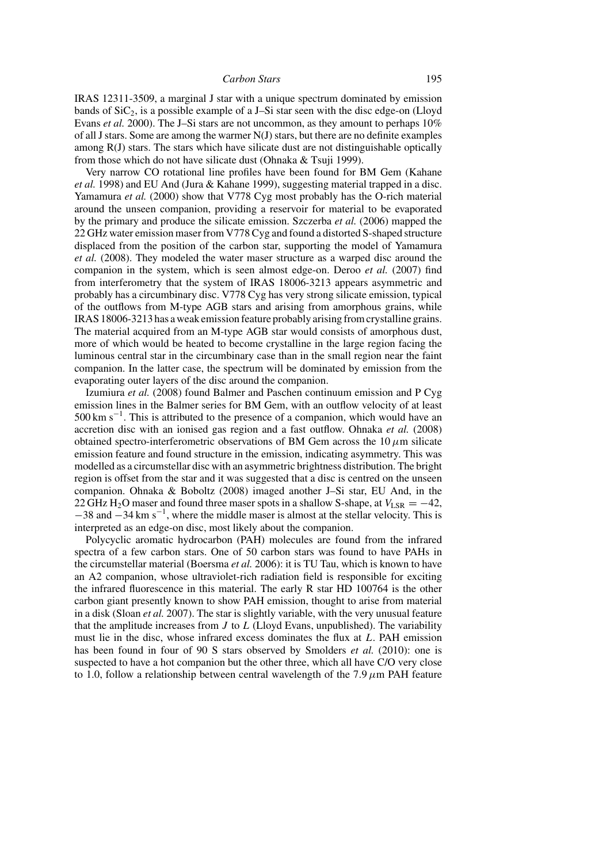IRAS 12311-3509, a marginal J star with a unique spectrum dominated by emission bands of  $SiC<sub>2</sub>$ , is a possible example of a J–Si star seen with the disc edge-on (Lloyd Evans *et al.* 2000). The J–Si stars are not uncommon, as they amount to perhaps 10% of all J stars. Some are among the warmer N(J) stars, but there are no definite examples among R(J) stars. The stars which have silicate dust are not distinguishable optically from those which do not have silicate dust (Ohnaka  $&$  Tsuji 1999).

Very narrow CO rotational line profiles have been found for BM Gem (Kahane *et al.* 1998) and EU And (Jura & Kahane 1999), suggesting material trapped in a disc. Yamamura et al. (2000) show that V778 Cyg most probably has the O-rich material around the unseen companion, providing a reservoir for material to be evaporated by the primary and produce the silicate emission. Szczerba *et al.* (2006) mapped the 22 GHz water emission maser from V778 Cyg and found a distorted S-shaped structure displaced from the position of the carbon star, supporting the model of Yamamura *et al.* (2008). They modeled the water maser structure as a warped disc around the companion in the system, which is seen almost edge-on. Deroo *et al.* (2007) find from interferometry that the system of IRAS 18006-3213 appears asymmetric and probably has a circumbinary disc. V778 Cyg has very strong silicate emission, typical of the outflows from M-type AGB stars and arising from amorphous grains, while IRAS 18006-3213 has a weak emission feature probably arising from crystalline grains. The material acquired from an M-type AGB star would consists of amorphous dust, more of which would be heated to become crystalline in the large region facing the luminous central star in the circumbinary case than in the small region near the faint companion. In the latter case, the spectrum will be dominated by emission from the evaporating outer layers of the disc around the companion.

Izumiura *et al.* (2008) found Balmer and Paschen continuum emission and P Cyg emission lines in the Balmer series for BM Gem, with an outflow velocity of at least  $500 \text{ km s}^{-1}$ . This is attributed to the presence of a companion, which would have an accretion disc with an ionised gas region and a fast outflow. Ohnaka *et al.* (2008) obtained spectro-interferometric observations of BM Gem across the  $10 \mu m$  silicate emission feature and found structure in the emission, indicating asymmetry. This was modelled as a circumstellar disc with an asymmetric brightness distribution. The bright region is offset from the star and it was suggested that a disc is centred on the unseen companion. Ohnaka & Boboltz (2008) imaged another J–Si star, EU And, in the 22 GHz H<sub>2</sub>O maser and found three maser spots in a shallow S-shape, at  $V_{LSR} = -42$ ,  $-38$  and  $-34$  km s<sup>-1</sup>, where the middle maser is almost at the stellar velocity. This is interpreted as an edge-on disc, most likely about the companion.

Polycyclic aromatic hydrocarbon (PAH) molecules are found from the infrared spectra of a few carbon stars. One of 50 carbon stars was found to have PAHs in the circumstellar material (Boersma *et al.* 2006): it is TU Tau, which is known to have an A2 companion, whose ultraviolet-rich radiation field is responsible for exciting the infrared fluorescence in this material. The early R star HD 100764 is the other carbon giant presently known to show PAH emission, thought to arise from material in a disk (Sloan *et al.* 2007). The star is slightly variable, with the very unusual feature that the amplitude increases from  $J$  to  $L$  (Lloyd Evans, unpublished). The variability must lie in the disc, whose infrared excess dominates the flux at L. PAH emission has been found in four of 90 S stars observed by Smolders *et al.* (2010): one is suspected to have a hot companion but the other three, which all have C/O very close to 1.0, follow a relationship between central wavelength of the 7.9  $\mu$ m PAH feature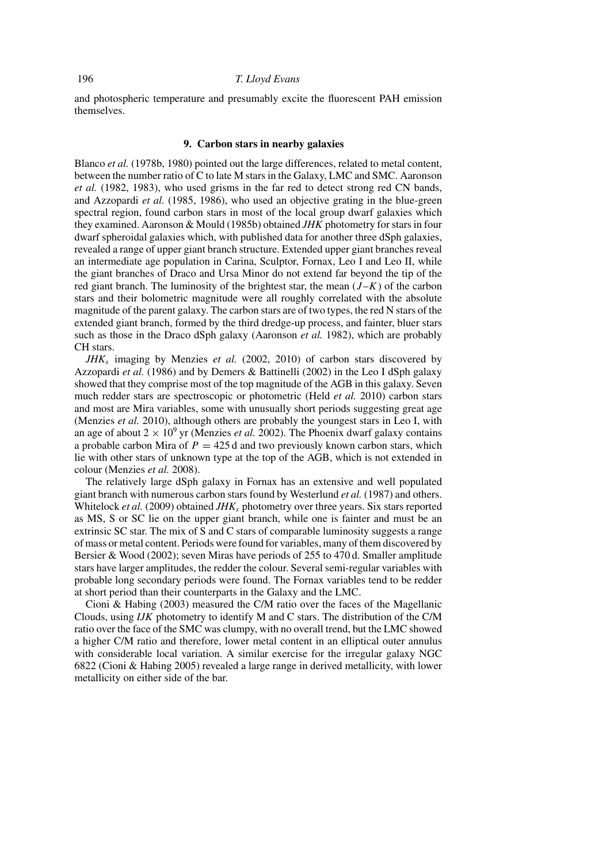and photospheric temperature and presumably excite the fluorescent PAH emission themselves.

### **9. Carbon stars in nearby galaxies**

Blanco *et al.* (1978b, 1980) pointed out the large differences, related to metal content, between the number ratio of C to late M stars in the Galaxy, LMC and SMC. Aaronson *et al.* (1982, 1983), who used grisms in the far red to detect strong red CN bands, and Azzopardi *et al.* (1985, 1986), who used an objective grating in the blue-green spectral region, found carbon stars in most of the local group dwarf galaxies which they examined. Aaronson & Mould (1985b) obtained *JHK* photometry for stars in four dwarf spheroidal galaxies which, with published data for another three dSph galaxies, revealed a range of upper giant branch structure. Extended upper giant branches reveal an intermediate age population in Carina, Sculptor, Fornax, Leo I and Leo II, while the giant branches of Draco and Ursa Minor do not extend far beyond the tip of the red giant branch. The luminosity of the brightest star, the mean  $(J-K)$  of the carbon stars and their bolometric magnitude were all roughly correlated with the absolute magnitude of the parent galaxy. The carbon stars are of two types, the red N stars of the extended giant branch, formed by the third dredge-up process, and fainter, bluer stars such as those in the Draco dSph galaxy (Aaronson *et al.* 1982), which are probably CH stars.

*JHK*<sup>s</sup> imaging by Menzies *et al.* (2002, 2010) of carbon stars discovered by Azzopardi *et al.* (1986) and by Demers & Battinelli (2002) in the Leo I dSph galaxy showed that they comprise most of the top magnitude of the AGB in this galaxy. Seven much redder stars are spectroscopic or photometric (Held *et al.* 2010) carbon stars and most are Mira variables, some with unusually short periods suggesting great age (Menzies *et al.* 2010), although others are probably the youngest stars in Leo I, with an age of about  $2 \times 10^9$  yr (Menzies *et al.* 2002). The Phoenix dwarf galaxy contains a probable carbon Mira of  $P = 425$  d and two previously known carbon stars, which lie with other stars of unknown type at the top of the AGB, which is not extended in colour (Menzies *et al.* 2008).

The relatively large dSph galaxy in Fornax has an extensive and well populated giant branch with numerous carbon stars found by Westerlund *et al.* (1987) and others. Whitelock *et al.* (2009) obtained  $JHK_s$  photometry over three years. Six stars reported as MS, S or SC lie on the upper giant branch, while one is fainter and must be an extrinsic SC star. The mix of S and C stars of comparable luminosity suggests a range of mass or metal content. Periods were found for variables, many of them discovered by Bersier & Wood (2002); seven Miras have periods of 255 to 470 d. Smaller amplitude stars have larger amplitudes, the redder the colour. Several semi-regular variables with probable long secondary periods were found. The Fornax variables tend to be redder at short period than their counterparts in the Galaxy and the LMC.

Cioni & Habing (2003) measured the C/M ratio over the faces of the Magellanic Clouds, using *IJK* photometry to identify M and C stars. The distribution of the C/M ratio over the face of the SMC was clumpy, with no overall trend, but the LMC showed a higher C/M ratio and therefore, lower metal content in an elliptical outer annulus with considerable local variation. A similar exercise for the irregular galaxy NGC 6822 (Cioni & Habing 2005) revealed a large range in derived metallicity, with lower metallicity on either side of the bar.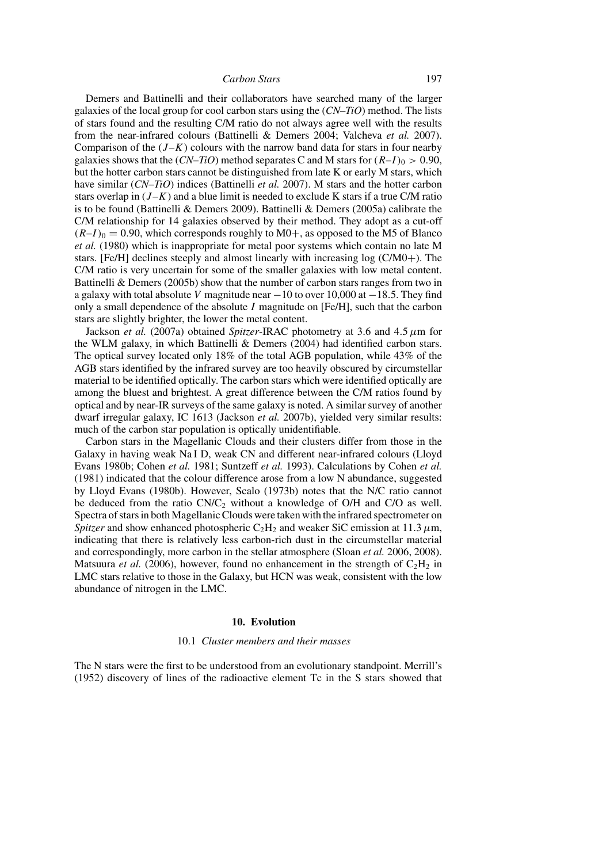Demers and Battinelli and their collaborators have searched many of the larger galaxies of the local group for cool carbon stars using the (*CN*–*TiO*) method. The lists of stars found and the resulting C/M ratio do not always agree well with the results from the near-infrared colours (Battinelli & Demers 2004; Valcheva *et al.* 2007). Comparison of the  $(J-K)$  colours with the narrow band data for stars in four nearby galaxies shows that the  $(CN–TiO)$  method separates C and M stars for  $(R–I)_0 > 0.90$ , but the hotter carbon stars cannot be distinguished from late K or early M stars, which have similar (*CN*–*TiO*) indices (Battinelli *et al.* 2007). M stars and the hotter carbon stars overlap in  $(J-K)$  and a blue limit is needed to exclude K stars if a true C/M ratio is to be found (Battinelli & Demers 2009). Battinelli & Demers (2005a) calibrate the C/M relationship for 14 galaxies observed by their method. They adopt as a cut-off  $(R-I)_0 = 0.90$ , which corresponds roughly to M0+, as opposed to the M5 of Blanco *et al.* (1980) which is inappropriate for metal poor systems which contain no late M stars. [Fe/H] declines steeply and almost linearly with increasing log (C/M0+). The C/M ratio is very uncertain for some of the smaller galaxies with low metal content. Battinelli & Demers (2005b) show that the number of carbon stars ranges from two in a galaxy with total absolute V magnitude near  $-10$  to over 10,000 at  $-18.5$ . They find only a small dependence of the absolute  $I$  magnitude on [Fe/H], such that the carbon stars are slightly brighter, the lower the metal content.

Jackson *et al.* (2007a) obtained *Spitzer*-IRAC photometry at 3.6 and 4.5  $\mu$ m for the WLM galaxy, in which Battinelli & Demers (2004) had identified carbon stars. The optical survey located only 18% of the total AGB population, while 43% of the AGB stars identified by the infrared survey are too heavily obscured by circumstellar material to be identified optically. The carbon stars which were identified optically are among the bluest and brightest. A great difference between the C/M ratios found by optical and by near-IR surveys of the same galaxy is noted. A similar survey of another dwarf irregular galaxy, IC 1613 (Jackson *et al.* 2007b), yielded very similar results: much of the carbon star population is optically unidentifiable.

Carbon stars in the Magellanic Clouds and their clusters differ from those in the Galaxy in having weak Na I D, weak CN and different near-infrared colours (Lloyd Evans 1980b; Cohen *et al.* 1981; Suntzeff *et al.* 1993). Calculations by Cohen *et al.* (1981) indicated that the colour difference arose from a low N abundance, suggested by Lloyd Evans (1980b). However, Scalo (1973b) notes that the N/C ratio cannot be deduced from the ratio  $CN/C_2$  without a knowledge of O/H and C/O as well. Spectra of stars in both Magellanic Clouds were taken with the infrared spectrometer on *Spitzer* and show enhanced photospheric  $C_2H_2$  and weaker SiC emission at 11.3  $\mu$ m, indicating that there is relatively less carbon-rich dust in the circumstellar material and correspondingly, more carbon in the stellar atmosphere (Sloan *et al.* 2006, 2008). Matsuura *et al.* (2006), however, found no enhancement in the strength of  $C_2H_2$  in LMC stars relative to those in the Galaxy, but HCN was weak, consistent with the low abundance of nitrogen in the LMC.

### **10. Evolution**

### 10.1 *Cluster members and their masses*

The N stars were the first to be understood from an evolutionary standpoint. Merrill's (1952) discovery of lines of the radioactive element Tc in the S stars showed that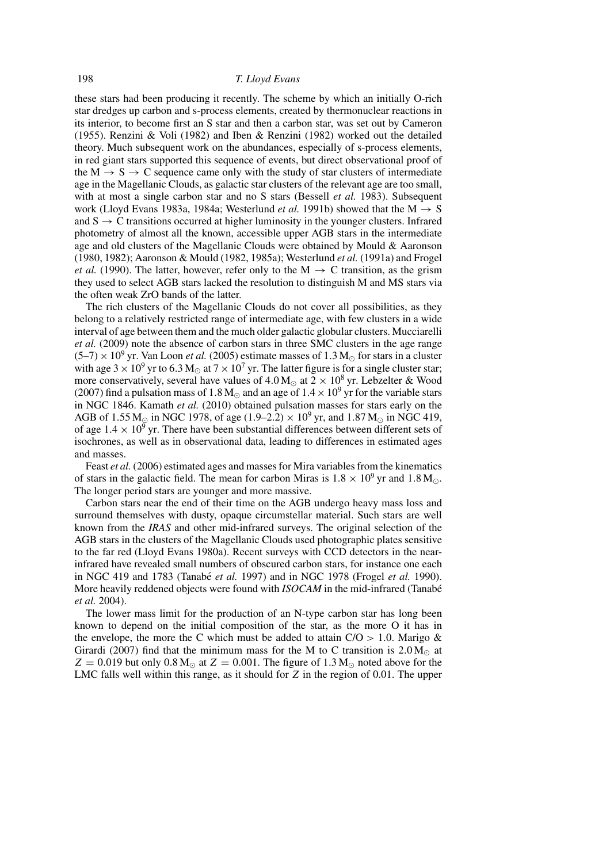these stars had been producing it recently. The scheme by which an initially O-rich star dredges up carbon and s-process elements, created by thermonuclear reactions in its interior, to become first an S star and then a carbon star, was set out by Cameron (1955). Renzini & Voli (1982) and Iben & Renzini (1982) worked out the detailed theory. Much subsequent work on the abundances, especially of s-process elements, in red giant stars supported this sequence of events, but direct observational proof of the  $M \rightarrow S \rightarrow C$  sequence came only with the study of star clusters of intermediate age in the Magellanic Clouds, as galactic star clusters of the relevant age are too small, with at most a single carbon star and no S stars (Bessell *et al.* 1983). Subsequent work (Lloyd Evans 1983a, 1984a; Westerlund *et al.* 1991b) showed that the  $M \rightarrow S$ and  $S \rightarrow C$  transitions occurred at higher luminosity in the younger clusters. Infrared photometry of almost all the known, accessible upper AGB stars in the intermediate age and old clusters of the Magellanic Clouds were obtained by Mould & Aaronson (1980, 1982); Aaronson & Mould (1982, 1985a); Westerlund *et al.* (1991a) and Frogel *et al.* (1990). The latter, however, refer only to the  $M \rightarrow C$  transition, as the grism they used to select AGB stars lacked the resolution to distinguish M and MS stars via the often weak ZrO bands of the latter.

The rich clusters of the Magellanic Clouds do not cover all possibilities, as they belong to a relatively restricted range of intermediate age, with few clusters in a wide interval of age between them and the much older galactic globular clusters. Mucciarelli *et al.* (2009) note the absence of carbon stars in three SMC clusters in the age range  $(5-7) \times 10^9$  yr. Van Loon *et al.* (2005) estimate masses of 1.3 M<sub>\o</sub> for stars in a cluster with age  $3 \times 10^9$  yr to  $6.3$  M<sub> $\odot$ </sub> at  $7 \times 10^7$  yr. The latter figure is for a single cluster star; more conservatively, several have values of  $4.0 M_{\odot}$  at  $2 \times 10^8$  yr. Lebzelter & Wood (2007) find a pulsation mass of 1.8 M<sub>o</sub> and an age of  $1.4 \times 10^9$  yr for the variable stars in NGC 1846. Kamath *et al.* (2010) obtained pulsation masses for stars early on the AGB of 1.55 M<sub>o</sub> in NGC 1978, of age  $(1.9-2.2) \times 10^9$  yr, and 1.87 M<sub>o</sub> in NGC 419, of age  $1.4 \times 10^9$  yr. There have been substantial differences between different sets of isochrones, as well as in observational data, leading to differences in estimated ages and masses.

Feast *et al.* (2006) estimated ages and masses for Mira variables from the kinematics of stars in the galactic field. The mean for carbon Miras is  $1.8 \times 10^9$  yr and  $1.8$  M<sub>o</sub>. The longer period stars are younger and more massive.

Carbon stars near the end of their time on the AGB undergo heavy mass loss and surround themselves with dusty, opaque circumstellar material. Such stars are well known from the *IRAS* and other mid-infrared surveys. The original selection of the AGB stars in the clusters of the Magellanic Clouds used photographic plates sensitive to the far red (Lloyd Evans 1980a). Recent surveys with CCD detectors in the nearinfrared have revealed small numbers of obscured carbon stars, for instance one each in NGC 419 and 1783 (Tanabé *et al.* 1997) and in NGC 1978 (Frogel *et al.* 1990). More heavily reddened objects were found with *ISOCAM* in the mid-infrared (Tanabé) *et al.* 2004).

The lower mass limit for the production of an N-type carbon star has long been known to depend on the initial composition of the star, as the more O it has in the envelope, the more the C which must be added to attain  $C/O > 1.0$ . Marigo & Girardi (2007) find that the minimum mass for the M to C transition is  $2.0 M_{\odot}$  at  $Z = 0.019$  but only  $0.8 M_{\odot}$  at  $Z = 0.001$ . The figure of 1.3 M<sub> $\odot$ </sub> noted above for the LMC falls well within this range, as it should for Z in the region of 0.01. The upper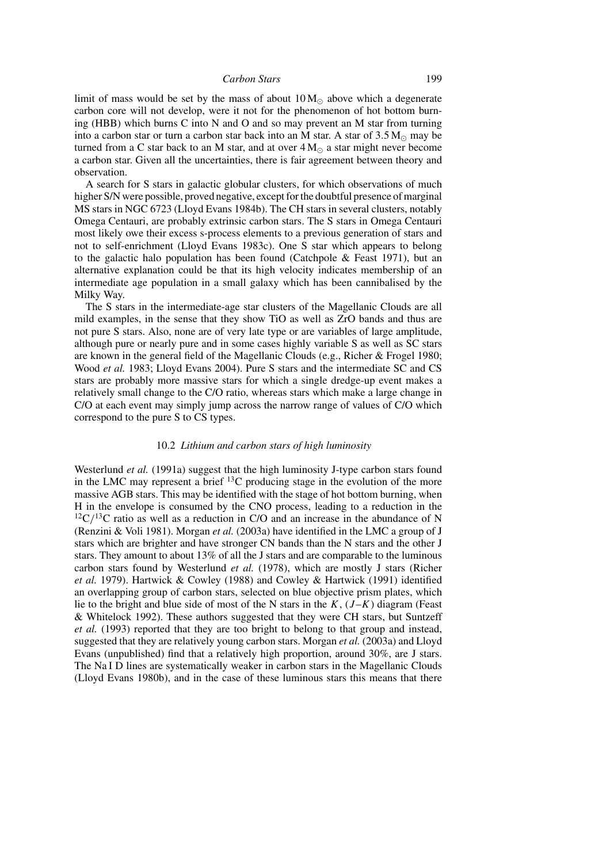limit of mass would be set by the mass of about  $10 M_{\odot}$  above which a degenerate carbon core will not develop, were it not for the phenomenon of hot bottom burning (HBB) which burns C into N and O and so may prevent an M star from turning into a carbon star or turn a carbon star back into an M star. A star of  $3.5 M_{\odot}$  may be turned from a C star back to an M star, and at over  $4 M_{\odot}$  a star might never become a carbon star. Given all the uncertainties, there is fair agreement between theory and observation.

A search for S stars in galactic globular clusters, for which observations of much higher S/N were possible, proved negative, except for the doubtful presence of marginal MS stars in NGC 6723 (Lloyd Evans 1984b). The CH stars in several clusters, notably Omega Centauri, are probably extrinsic carbon stars. The S stars in Omega Centauri most likely owe their excess s-process elements to a previous generation of stars and not to self-enrichment (Lloyd Evans 1983c). One S star which appears to belong to the galactic halo population has been found (Catchpole  $\&$  Feast 1971), but an alternative explanation could be that its high velocity indicates membership of an intermediate age population in a small galaxy which has been cannibalised by the Milky Way.

The S stars in the intermediate-age star clusters of the Magellanic Clouds are all mild examples, in the sense that they show TiO as well as ZrO bands and thus are not pure S stars. Also, none are of very late type or are variables of large amplitude, although pure or nearly pure and in some cases highly variable S as well as SC stars are known in the general field of the Magellanic Clouds (e.g., Richer & Frogel 1980; Wood *et al.* 1983; Lloyd Evans 2004). Pure S stars and the intermediate SC and CS stars are probably more massive stars for which a single dredge-up event makes a relatively small change to the C/O ratio, whereas stars which make a large change in C/O at each event may simply jump across the narrow range of values of C/O which correspond to the pure S to CS types.

# 10.2 *Lithium and carbon stars of high luminosity*

Westerlund *et al.* (1991a) suggest that the high luminosity J-type carbon stars found in the LMC may represent a brief  $^{13}$ C producing stage in the evolution of the more massive AGB stars. This may be identified with the stage of hot bottom burning, when H in the envelope is consumed by the CNO process, leading to a reduction in the  $12^1C^{13}C$  ratio as well as a reduction in C/O and an increase in the abundance of N (Renzini & Voli 1981). Morgan *et al.* (2003a) have identified in the LMC a group of J stars which are brighter and have stronger CN bands than the N stars and the other J stars. They amount to about 13% of all the J stars and are comparable to the luminous carbon stars found by Westerlund *et al.* (1978), which are mostly J stars (Richer *et al.* 1979). Hartwick & Cowley (1988) and Cowley & Hartwick (1991) identified an overlapping group of carbon stars, selected on blue objective prism plates, which lie to the bright and blue side of most of the N stars in the  $K$ ,  $(J-K)$  diagram (Feast & Whitelock 1992). These authors suggested that they were CH stars, but Suntzeff *et al.* (1993) reported that they are too bright to belong to that group and instead, suggested that they are relatively young carbon stars. Morgan *et al.* (2003a) and Lloyd Evans (unpublished) find that a relatively high proportion, around 30%, are J stars. The Na I D lines are systematically weaker in carbon stars in the Magellanic Clouds (Lloyd Evans 1980b), and in the case of these luminous stars this means that there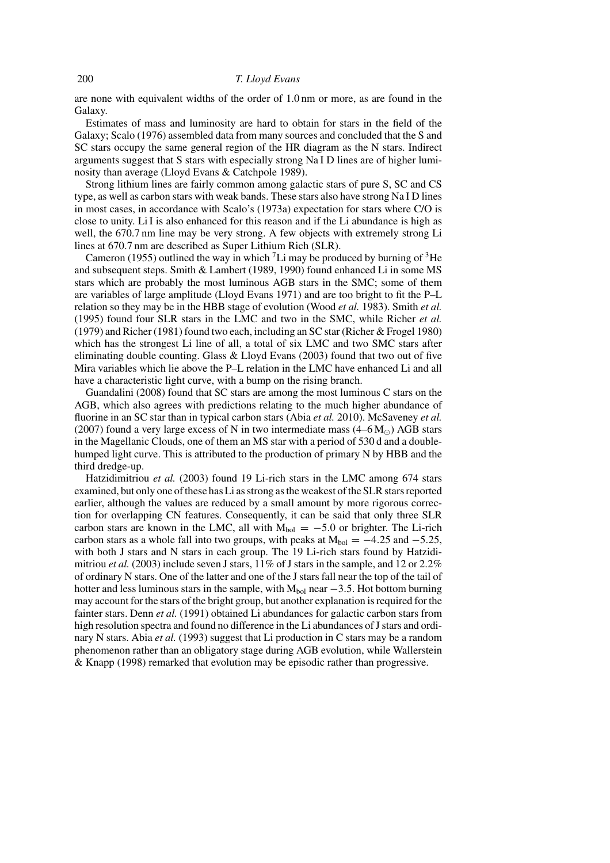are none with equivalent widths of the order of 1.0 nm or more, as are found in the Galaxy.

Estimates of mass and luminosity are hard to obtain for stars in the field of the Galaxy; Scalo (1976) assembled data from many sources and concluded that the S and SC stars occupy the same general region of the HR diagram as the N stars. Indirect arguments suggest that S stars with especially strong Na I D lines are of higher luminosity than average (Lloyd Evans & Catchpole 1989).

Strong lithium lines are fairly common among galactic stars of pure S, SC and CS type, as well as carbon stars with weak bands. These stars also have strong Na I D lines in most cases, in accordance with Scalo's (1973a) expectation for stars where C/O is close to unity. Li I is also enhanced for this reason and if the Li abundance is high as well, the 670.7 nm line may be very strong. A few objects with extremely strong Li lines at 670.7 nm are described as Super Lithium Rich (SLR).

Cameron (1955) outlined the way in which <sup>7</sup>Li may be produced by burning of <sup>3</sup>He and subsequent steps. Smith & Lambert (1989, 1990) found enhanced Li in some MS stars which are probably the most luminous AGB stars in the SMC; some of them are variables of large amplitude (Lloyd Evans 1971) and are too bright to fit the P–L relation so they may be in the HBB stage of evolution (Wood *et al.* 1983). Smith *et al.* (1995) found four SLR stars in the LMC and two in the SMC, while Richer *et al.* (1979) and Richer (1981) found two each, including an SC star (Richer & Frogel 1980) which has the strongest Li line of all, a total of six LMC and two SMC stars after eliminating double counting. Glass & Lloyd Evans (2003) found that two out of five Mira variables which lie above the P–L relation in the LMC have enhanced Li and all have a characteristic light curve, with a bump on the rising branch.

Guandalini (2008) found that SC stars are among the most luminous C stars on the AGB, which also agrees with predictions relating to the much higher abundance of fluorine in an SC star than in typical carbon stars (Abia *et al.* 2010). McSaveney *et al.* (2007) found a very large excess of N in two intermediate mass  $(4-6 M_{\odot})$  AGB stars in the Magellanic Clouds, one of them an MS star with a period of 530 d and a doublehumped light curve. This is attributed to the production of primary N by HBB and the third dredge-up.

Hatzidimitriou *et al.* (2003) found 19 Li-rich stars in the LMC among 674 stars examined, but only one of these has Li as strong as the weakest of the SLR stars reported earlier, although the values are reduced by a small amount by more rigorous correction for overlapping CN features. Consequently, it can be said that only three SLR carbon stars are known in the LMC, all with  $M_{bol} = -5.0$  or brighter. The Li-rich carbon stars as a whole fall into two groups, with peaks at  $M_{bol} = -4.25$  and  $-5.25$ , with both J stars and N stars in each group. The 19 Li-rich stars found by Hatzidimitriou *et al.* (2003) include seven J stars,  $11\%$  of J stars in the sample, and 12 or 2.2% of ordinary N stars. One of the latter and one of the J stars fall near the top of the tail of hotter and less luminous stars in the sample, with  $M_{bol}$  near  $-3.5$ . Hot bottom burning may account for the stars of the bright group, but another explanation is required for the fainter stars. Denn *et al.* (1991) obtained Li abundances for galactic carbon stars from high resolution spectra and found no difference in the Li abundances of J stars and ordinary N stars. Abia *et al.* (1993) suggest that Li production in C stars may be a random phenomenon rather than an obligatory stage during AGB evolution, while Wallerstein & Knapp (1998) remarked that evolution may be episodic rather than progressive.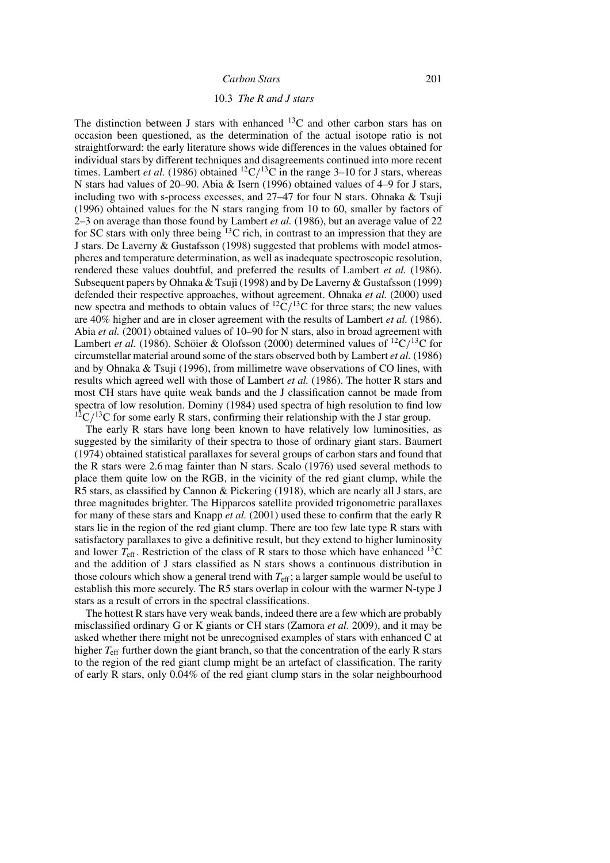# 10.3 *The R and J stars*

The distinction between J stars with enhanced  $^{13}$ C and other carbon stars has on occasion been questioned, as the determination of the actual isotope ratio is not straightforward: the early literature shows wide differences in the values obtained for individual stars by different techniques and disagreements continued into more recent times. Lambert *et al.* (1986) obtained <sup>12</sup>C/<sup>13</sup>C in the range 3–10 for J stars, whereas N stars had values of 20–90. Abia & Isern (1996) obtained values of 4–9 for J stars, including two with s-process excesses, and 27–47 for four N stars. Ohnaka & Tsuji (1996) obtained values for the N stars ranging from 10 to 60, smaller by factors of 2–3 on average than those found by Lambert *et al.* (1986), but an average value of 22 for SC stars with only three being  ${}^{13}$ C rich, in contrast to an impression that they are J stars. De Laverny & Gustafsson (1998) suggested that problems with model atmospheres and temperature determination, as well as inadequate spectroscopic resolution, rendered these values doubtful, and preferred the results of Lambert *et al.* (1986). Subsequent papers by Ohnaka & Tsuji (1998) and by De Laverny & Gustafsson (1999) defended their respective approaches, without agreement. Ohnaka *et al.* (2000) used new spectra and methods to obtain values of  ${}^{12}C/{}^{13}C$  for three stars; the new values are 40% higher and are in closer agreement with the results of Lambert *et al.* (1986). Abia *et al.* (2001) obtained values of 10–90 for N stars, also in broad agreement with Lambert *et al.* (1986). Schöier & Olofsson (2000) determined values of <sup>12</sup>C/<sup>13</sup>C for circumstellar material around some of the stars observed both by Lambert *et al.* (1986) and by Ohnaka & Tsuji (1996), from millimetre wave observations of CO lines, with results which agreed well with those of Lambert *et al.* (1986). The hotter R stars and most CH stars have quite weak bands and the J classification cannot be made from spectra of low resolution. Dominy (1984) used spectra of high resolution to find low  $12^{\circ}C/13C$  for some early R stars, confirming their relationship with the J star group.

The early R stars have long been known to have relatively low luminosities, as suggested by the similarity of their spectra to those of ordinary giant stars. Baumert (1974) obtained statistical parallaxes for several groups of carbon stars and found that the R stars were 2.6 mag fainter than N stars. Scalo (1976) used several methods to place them quite low on the RGB, in the vicinity of the red giant clump, while the R5 stars, as classified by Cannon & Pickering (1918), which are nearly all J stars, are three magnitudes brighter. The Hipparcos satellite provided trigonometric parallaxes for many of these stars and Knapp *et al.* (2001) used these to confirm that the early R stars lie in the region of the red giant clump. There are too few late type R stars with satisfactory parallaxes to give a definitive result, but they extend to higher luminosity and lower  $T_{\text{eff}}$ . Restriction of the class of R stars to those which have enhanced  $^{13}$ C and the addition of J stars classified as N stars shows a continuous distribution in those colours which show a general trend with  $T_{\text{eff}}$ ; a larger sample would be useful to establish this more securely. The R5 stars overlap in colour with the warmer N-type J stars as a result of errors in the spectral classifications.

The hottest R stars have very weak bands, indeed there are a few which are probably misclassified ordinary G or K giants or CH stars (Zamora *et al.* 2009), and it may be asked whether there might not be unrecognised examples of stars with enhanced C at higher  $T_{\text{eff}}$  further down the giant branch, so that the concentration of the early R stars to the region of the red giant clump might be an artefact of classification. The rarity of early R stars, only 0.04% of the red giant clump stars in the solar neighbourhood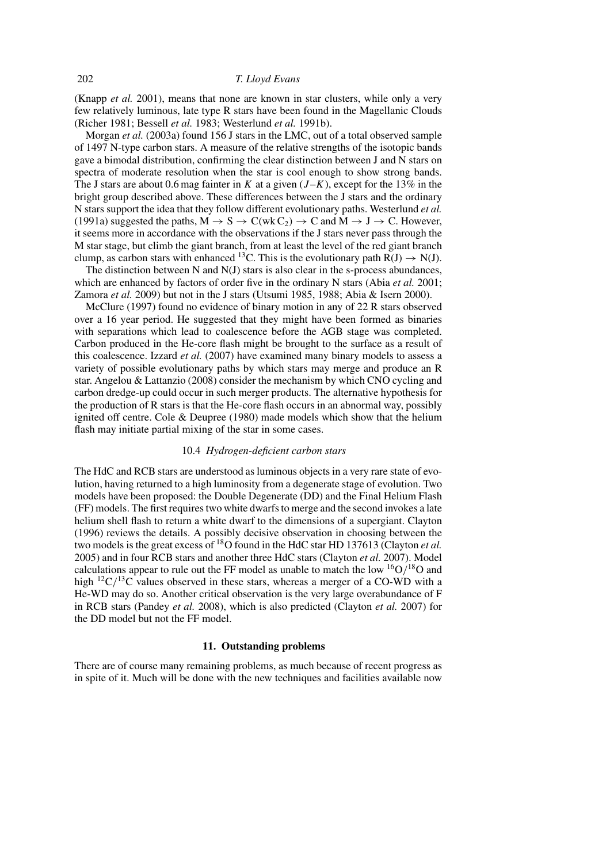(Knapp *et al.* 2001), means that none are known in star clusters, while only a very few relatively luminous, late type R stars have been found in the Magellanic Clouds (Richer 1981; Bessell *et al.* 1983; Westerlund *et al.* 1991b).

Morgan *et al.* (2003a) found 156 J stars in the LMC, out of a total observed sample of 1497 N-type carbon stars. A measure of the relative strengths of the isotopic bands gave a bimodal distribution, confirming the clear distinction between J and N stars on spectra of moderate resolution when the star is cool enough to show strong bands. The J stars are about 0.6 mag fainter in K at a given  $(J-K)$ , except for the 13% in the bright group described above. These differences between the J stars and the ordinary N stars support the idea that they follow different evolutionary paths. Westerlund *et al.* (1991a) suggested the paths,  $M \to S \to C(wkC_2) \to C$  and  $M \to J \to C$ . However, it seems more in accordance with the observations if the J stars never pass through the M star stage, but climb the giant branch, from at least the level of the red giant branch clump, as carbon stars with enhanced <sup>13</sup>C. This is the evolutionary path  $R(J) \rightarrow N(J)$ .

The distinction between N and  $N(J)$  stars is also clear in the s-process abundances, which are enhanced by factors of order five in the ordinary N stars (Abia *et al.* 2001; Zamora *et al.* 2009) but not in the J stars (Utsumi 1985, 1988; Abia & Isern 2000).

McClure (1997) found no evidence of binary motion in any of 22 R stars observed over a 16 year period. He suggested that they might have been formed as binaries with separations which lead to coalescence before the AGB stage was completed. Carbon produced in the He-core flash might be brought to the surface as a result of this coalescence. Izzard *et al.* (2007) have examined many binary models to assess a variety of possible evolutionary paths by which stars may merge and produce an R star. Angelou & Lattanzio (2008) consider the mechanism by which CNO cycling and carbon dredge-up could occur in such merger products. The alternative hypothesis for the production of R stars is that the He-core flash occurs in an abnormal way, possibly ignited off centre. Cole  $&$  Deupree (1980) made models which show that the helium flash may initiate partial mixing of the star in some cases.

# 10.4 *Hydrogen-deficient carbon stars*

The HdC and RCB stars are understood as luminous objects in a very rare state of evolution, having returned to a high luminosity from a degenerate stage of evolution. Two models have been proposed: the Double Degenerate (DD) and the Final Helium Flash (FF) models. The first requires two white dwarfs to merge and the second invokes a late helium shell flash to return a white dwarf to the dimensions of a supergiant. Clayton (1996) reviews the details. A possibly decisive observation in choosing between the two models is the great excess of 18O found in the HdC star HD 137613 (Clayton *et al.* 2005) and in four RCB stars and another three HdC stars (Clayton *et al.* 2007). Model calculations appear to rule out the FF model as unable to match the low  ${}^{16}O/{}^{18}O$  and high  ${}^{12}C/{}^{13}C$  values observed in these stars, whereas a merger of a CO-WD with a He-WD may do so. Another critical observation is the very large overabundance of F in RCB stars (Pandey *et al.* 2008), which is also predicted (Clayton *et al.* 2007) for the DD model but not the FF model.

### **11. Outstanding problems**

There are of course many remaining problems, as much because of recent progress as in spite of it. Much will be done with the new techniques and facilities available now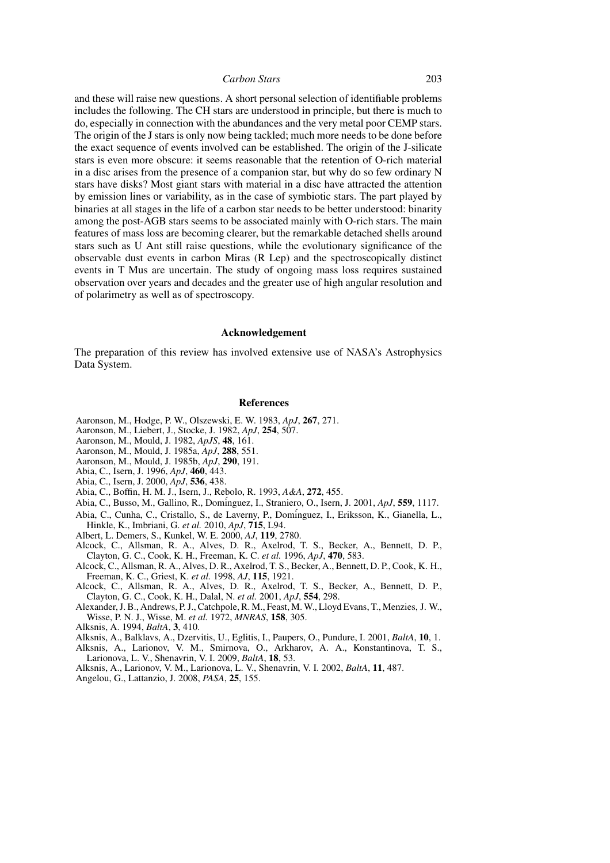| Carbon Stars | 203 |
|--------------|-----|
|--------------|-----|

and these will raise new questions. A short personal selection of identifiable problems includes the following. The CH stars are understood in principle, but there is much to do, especially in connection with the abundances and the very metal poor CEMP stars. The origin of the J stars is only now being tackled; much more needs to be done before the exact sequence of events involved can be established. The origin of the J-silicate stars is even more obscure: it seems reasonable that the retention of O-rich material in a disc arises from the presence of a companion star, but why do so few ordinary N stars have disks? Most giant stars with material in a disc have attracted the attention by emission lines or variability, as in the case of symbiotic stars. The part played by binaries at all stages in the life of a carbon star needs to be better understood: binarity among the post-AGB stars seems to be associated mainly with O-rich stars. The main features of mass loss are becoming clearer, but the remarkable detached shells around stars such as U Ant still raise questions, while the evolutionary significance of the observable dust events in carbon Miras (R Lep) and the spectroscopically distinct events in T Mus are uncertain. The study of ongoing mass loss requires sustained observation over years and decades and the greater use of high angular resolution and of polarimetry as well as of spectroscopy.

# **Acknowledgement**

The preparation of this review has involved extensive use of NASA's Astrophysics Data System.

### **References**

- Aaronson, M., Hodge, P. W., Olszewski, E. W. 1983, *ApJ*, **267**, 271.
- Aaronson, M., Liebert, J., Stocke, J. 1982, *ApJ*, **254**, 507.
- Aaronson, M., Mould, J. 1982, *ApJS*, **48**, 161.
- Aaronson, M., Mould, J. 1985a, *ApJ*, **288**, 551.
- Aaronson, M., Mould, J. 1985b, *ApJ*, **290**, 191.
- Abia, C., Isern, J. 1996, *ApJ*, **460**, 443.
- Abia, C., Isern, J. 2000, *ApJ*, **536**, 438.
- Abia, C., Boffin, H. M. J., Isern, J., Rebolo, R. 1993, *A&A*, **272**, 455.
- Abia, C., Busso, M., Gallino, R., Dom´inguez, I., Straniero, O., Isern, J. 2001, *ApJ*, **559**, 1117.
- Abia, C., Cunha, C., Cristallo, S., de Laverny, P., Dom´inguez, I., Eriksson, K., Gianella, L., Hinkle, K., Imbriani, G. *et al.* 2010, *ApJ*, **715**, L94.
- Albert, L. Demers, S., Kunkel, W. E. 2000, *AJ*, **119**, 2780.
- Alcock, C., Allsman, R. A., Alves, D. R., Axelrod, T. S., Becker, A., Bennett, D. P., Clayton, G. C., Cook, K. H., Freeman, K. C. *et al.* 1996, *ApJ*, **470**, 583.
- Alcock, C., Allsman, R. A., Alves, D. R., Axelrod, T. S., Becker, A., Bennett, D. P., Cook, K. H., Freeman, K. C., Griest, K. *et al.* 1998, *AJ*, **115**, 1921.
- Alcock, C., Allsman, R. A., Alves, D. R., Axelrod, T. S., Becker, A., Bennett, D. P., Clayton, G. C., Cook, K. H., Dalal, N. *et al.* 2001, *ApJ*, **554**, 298.
- Alexander, J. B., Andrews, P. J., Catchpole, R. M., Feast, M. W., Lloyd Evans, T., Menzies, J. W., Wisse, P. N. J., Wisse, M. *et al.* 1972, *MNRAS*, **158**, 305.
- Alksnis, A. 1994, *BaltA*, **3**, 410.
- Alksnis, A., Balklavs, A., Dzervitis, U., Eglitis, I., Paupers, O., Pundure, I. 2001, *BaltA*, **10**, 1.
- Alksnis, A., Larionov, V. M., Smirnova, O., Arkharov, A. A., Konstantinova, T. S., Larionova, L. V., Shenavrin, V. I. 2009, *BaltA*, **18**, 53.
- Alksnis, A., Larionov, V. M., Larionova, L. V., Shenavrin, V. I. 2002, *BaltA*, **11**, 487.
- Angelou, G., Lattanzio, J. 2008, *PASA*, **25**, 155.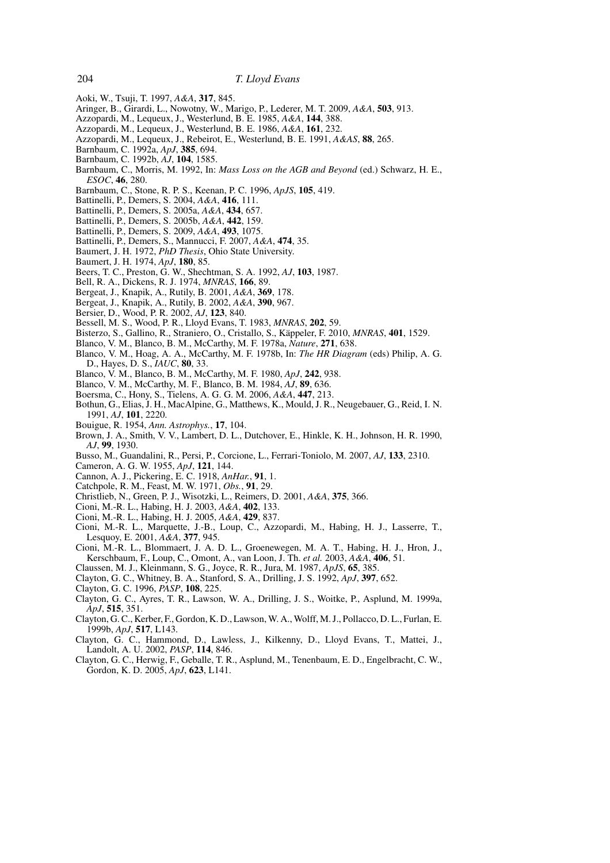- Aoki, W., Tsuji, T. 1997, *A&A*, **317**, 845.
- Aringer, B., Girardi, L., Nowotny, W., Marigo, P., Lederer, M. T. 2009, *A&A*, **503**, 913.
- Azzopardi, M., Lequeux, J., Westerlund, B. E. 1985, *A&A*, **144**, 388.
- Azzopardi, M., Lequeux, J., Westerlund, B. E. 1986, *A&A*, **161**, 232.
- Azzopardi, M., Lequeux, J., Rebeirot, E., Westerlund, B. E. 1991, *A&AS*, **88**, 265.
- Barnbaum, C. 1992a, *ApJ*, **385**, 694.
- Barnbaum, C. 1992b, *AJ*, **104**, 1585.
- Barnbaum, C., Morris, M. 1992, In: *Mass Loss on the AGB and Beyond* (ed.) Schwarz, H. E., *ESOC*, **46**, 280.
- Barnbaum, C., Stone, R. P. S., Keenan, P. C. 1996, *ApJS*, **105**, 419.
- Battinelli, P., Demers, S. 2004, *A&A*, **416**, 111.
- Battinelli, P., Demers, S. 2005a, *A&A*, **434**, 657.
- Battinelli, P., Demers, S. 2005b, *A&A*, **442**, 159.
- Battinelli, P., Demers, S. 2009, *A&A*, **493**, 1075.
- Battinelli, P., Demers, S., Mannucci, F. 2007, *A&A*, **474**, 35.
- Baumert, J. H. 1972, *PhD Thesis*, Ohio State University.
- Baumert, J. H. 1974, *ApJ*, **180**, 85.
- Beers, T. C., Preston, G. W., Shechtman, S. A. 1992, *AJ*, **103**, 1987.
- Bell, R. A., Dickens, R. J. 1974, *MNRAS*, **166**, 89.
- Bergeat, J., Knapik, A., Rutily, B. 2001, *A&A*, **369**, 178.
- Bergeat, J., Knapik, A., Rutily, B. 2002, *A&A*, **390**, 967.
- Bersier, D., Wood, P. R. 2002, *AJ*, **123**, 840.
- Bessell, M. S., Wood, P. R., Lloyd Evans, T. 1983, *MNRAS*, **202**, 59.
- Bisterzo, S., Gallino, R., Straniero, O., Cristallo, S., Käppeler, F. 2010, *MNRAS*, 401, 1529.
- Blanco, V. M., Blanco, B. M., McCarthy, M. F. 1978a, *Nature*, **271**, 638.
- Blanco, V. M., Hoag, A. A., McCarthy, M. F. 1978b, In: *The HR Diagram* (eds) Philip, A. G. D., Hayes, D. S., *IAUC*, **80**, 33.
- Blanco, V. M., Blanco, B. M., McCarthy, M. F. 1980, *ApJ*, **242**, 938.
- Blanco, V. M., McCarthy, M. F., Blanco, B. M. 1984, *AJ*, **89**, 636.
- Boersma, C., Hony, S., Tielens, A. G. G. M. 2006, *A&A*, **447**, 213.
- Bothun, G., Elias, J. H., MacAlpine, G., Matthews, K., Mould, J. R., Neugebauer, G., Reid, I. N. 1991, *AJ*, **101**, 2220.
- Bouigue, R. 1954, *Ann. Astrophys.*, **17**, 104.
- Brown, J. A., Smith, V. V., Lambert, D. L., Dutchover, E., Hinkle, K. H., Johnson, H. R. 1990, *AJ*, **99**, 1930.
- Busso, M., Guandalini, R., Persi, P., Corcione, L., Ferrari-Toniolo, M. 2007, *AJ*, **133**, 2310.
- Cameron, A. G. W. 1955, *ApJ*, **121**, 144.
- Cannon, A. J., Pickering, E. C. 1918, *AnHar.*, **91**, 1.
- Catchpole, R. M., Feast, M. W. 1971, *Obs.*, **91**, 29.
- Christlieb, N., Green, P. J., Wisotzki, L., Reimers, D. 2001, *A&A*, **375**, 366.
- Cioni, M.-R. L., Habing, H. J. 2003, *A&A*, **402**, 133.
- Cioni, M.-R. L., Habing, H. J. 2005, *A&A*, **429**, 837.
- Cioni, M.-R. L., Marquette, J.-B., Loup, C., Azzopardi, M., Habing, H. J., Lasserre, T., Lesquoy, E. 2001, *A&A*, **377**, 945.
- Cioni, M.-R. L., Blommaert, J. A. D. L., Groenewegen, M. A. T., Habing, H. J., Hron, J., Kerschbaum, F., Loup, C., Omont, A., van Loon, J. Th. *et al.* 2003, *A&A*, **406**, 51.
- Claussen, M. J., Kleinmann, S. G., Joyce, R. R., Jura, M. 1987, *ApJS*, **65**, 385.
- Clayton, G. C., Whitney, B. A., Stanford, S. A., Drilling, J. S. 1992, *ApJ*, **397**, 652.
- Clayton, G. C. 1996, *PASP*, **108**, 225.
- Clayton, G. C., Ayres, T. R., Lawson, W. A., Drilling, J. S., Woitke, P., Asplund, M. 1999a, *ApJ*, **515**, 351.
- Clayton, G. C., Kerber, F., Gordon, K. D., Lawson, W. A., Wolff, M. J., Pollacco, D. L., Furlan, E. 1999b, *ApJ*, **517**, L143.
- Clayton, G. C., Hammond, D., Lawless, J., Kilkenny, D., Lloyd Evans, T., Mattei, J., Landolt, A. U. 2002, *PASP*, **114**, 846.
- Clayton, G. C., Herwig, F., Geballe, T. R., Asplund, M., Tenenbaum, E. D., Engelbracht, C. W., Gordon, K. D. 2005, *ApJ*, **623**, L141.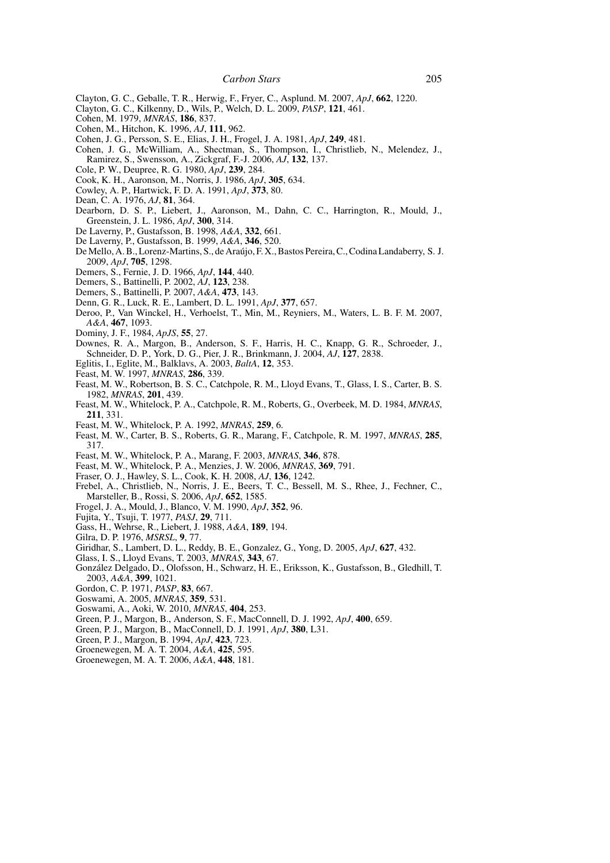- Clayton, G. C., Geballe, T. R., Herwig, F., Fryer, C., Asplund. M. 2007, *ApJ*, **662**, 1220.
- Clayton, G. C., Kilkenny, D., Wils, P., Welch, D. L. 2009, *PASP*, **121**, 461.
- Cohen, M. 1979, *MNRAS*, **186**, 837.
- Cohen, M., Hitchon, K. 1996, *AJ*, **111**, 962.
- Cohen, J. G., Persson, S. E., Elias, J. H., Frogel, J. A. 1981, *ApJ*, **249**, 481.
- Cohen, J. G., McWilliam, A., Shectman, S., Thompson, I., Christlieb, N., Melendez, J., Ramirez, S., Swensson, A., Zickgraf, F.-J. 2006, *AJ*, **132**, 137.
- Cole, P. W., Deupree, R. G. 1980, *ApJ*, **239**, 284.
- Cook, K. H., Aaronson, M., Norris, J. 1986, *ApJ*, **305**, 634.
- Cowley, A. P., Hartwick, F. D. A. 1991, *ApJ*, **373**, 80.
- Dean, C. A. 1976, *AJ*, **81**, 364.
- Dearborn, D. S. P., Liebert, J., Aaronson, M., Dahn, C. C., Harrington, R., Mould, J., Greenstein, J. L. 1986, *ApJ*, **300**, 314.
- De Laverny, P., Gustafsson, B. 1998, *A&A*, **332**, 661.
- De Laverny, P., Gustafsson, B. 1999, *A&A*, **346**, 520.
- De Mello, A. B., Lorenz-Martins, S., de Araujo, F. X., Bastos Pereira, C., Codina Landaberry, S. J. ´ 2009, *ApJ*, **705**, 1298.
- Demers, S., Fernie, J. D. 1966, *ApJ*, **144**, 440.
- Demers, S., Battinelli, P. 2002, *AJ*, **123**, 238.
- Demers, S., Battinelli, P. 2007, *A&A*, **473**, 143.
- Denn, G. R., Luck, R. E., Lambert, D. L. 1991, *ApJ*, **377**, 657.
- Deroo, P., Van Winckel, H., Verhoelst, T., Min, M., Reyniers, M., Waters, L. B. F. M. 2007, *A&A*, **467**, 1093.
- Dominy, J. F., 1984, *ApJS*, **55**, 27.
- Downes, R. A., Margon, B., Anderson, S. F., Harris, H. C., Knapp, G. R., Schroeder, J., Schneider, D. P., York, D. G., Pier, J. R., Brinkmann, J. 2004, *AJ*, **127**, 2838.
- Eglitis, I., Eglite, M., Balklavs, A. 2003, *BaltA*, **12**, 353.
- Feast, M. W. 1997, *MNRAS*, **286**, 339.
- Feast, M. W., Robertson, B. S. C., Catchpole, R. M., Lloyd Evans, T., Glass, I. S., Carter, B. S. 1982, *MNRAS*, **201**, 439.
- Feast, M. W., Whitelock, P. A., Catchpole, R. M., Roberts, G., Overbeek, M. D. 1984, *MNRAS*, **211**, 331.
- Feast, M. W., Whitelock, P. A. 1992, *MNRAS*, **259**, 6.
- Feast, M. W., Carter, B. S., Roberts, G. R., Marang, F., Catchpole, R. M. 1997, *MNRAS*, **285**, 317.
- Feast, M. W., Whitelock, P. A., Marang, F. 2003, *MNRAS*, **346**, 878.
- Feast, M. W., Whitelock, P. A., Menzies, J. W. 2006, *MNRAS*, **369**, 791.
- Fraser, O. J., Hawley, S. L., Cook, K. H. 2008, *AJ*, **136**, 1242.
- Frebel, A., Christlieb, N., Norris, J. E., Beers, T. C., Bessell, M. S., Rhee, J., Fechner, C., Marsteller, B., Rossi, S. 2006, *ApJ*, **652**, 1585.
- Frogel, J. A., Mould, J., Blanco, V. M. 1990, *ApJ*, **352**, 96.
- Fujita, Y., Tsuji, T. 1977, *PASJ*, **29**, 711.
- Gass, H., Wehrse, R., Liebert, J. 1988, *A&A*, **189**, 194.
- Gilra, D. P. 1976, *MSRSL*, **9**, 77.
- Giridhar, S., Lambert, D. L., Reddy, B. E., Gonzalez, G., Yong, D. 2005, *ApJ*, **627**, 432.
- Glass, I. S., Lloyd Evans, T. 2003, *MNRAS*, **343**, 67.
- Gonzalez Delgado, D., Olofsson, H., Schwarz, H. E., Eriksson, K., Gustafsson, B., Gledhill, T. ´ 2003, *A&A*, **399**, 1021.
- Gordon, C. P. 1971, *PASP*, **83**, 667.
- Goswami, A. 2005, *MNRAS*, **359**, 531.
- Goswami, A., Aoki, W. 2010, *MNRAS*, **404**, 253.
- Green, P. J., Margon, B., Anderson, S. F., MacConnell, D. J. 1992, *ApJ*, **400**, 659.
- Green, P. J., Margon, B., MacConnell, D. J. 1991, *ApJ*, **380**, L31.
- Green, P. J., Margon, B. 1994, *ApJ*, **423**, 723.
- Groenewegen, M. A. T. 2004, *A&A*, **425**, 595.
- Groenewegen, M. A. T. 2006, *A&A*, **448**, 181.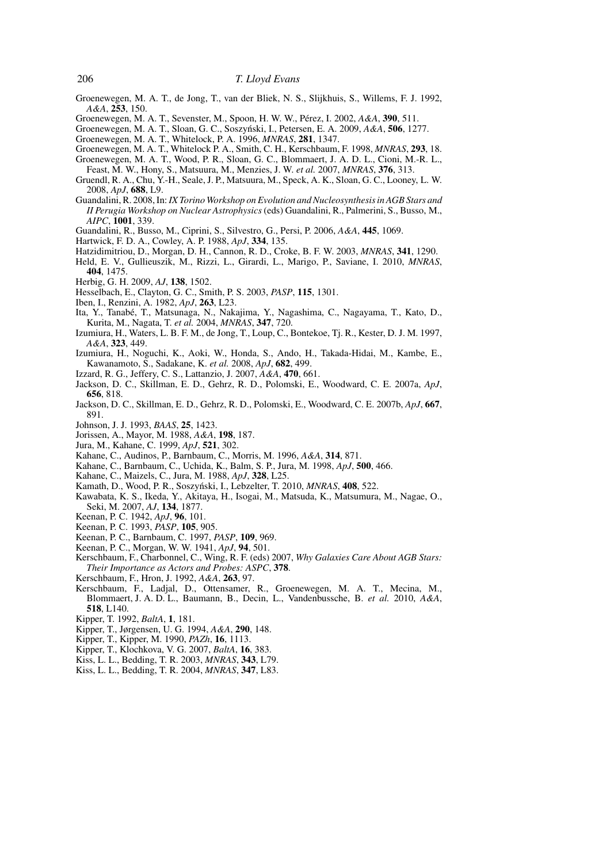- Groenewegen, M. A. T., de Jong, T., van der Bliek, N. S., Slijkhuis, S., Willems, F. J. 1992, *A&A*, **253**, 150.
- Groenewegen, M. A. T., Sevenster, M., Spoon, H. W. W., Pérez, I. 2002, A&A, 390, 511.
- Groenewegen, M. A. T., Sloan, G. C., Soszyński, I., Petersen, E. A. 2009, A&A, 506, 1277.
- Groenewegen, M. A. T., Whitelock, P. A. 1996, *MNRAS*, **281**, 1347.
- Groenewegen, M. A. T., Whitelock P. A., Smith, C. H., Kerschbaum, F. 1998, *MNRAS*, **293**, 18.
- Groenewegen, M. A. T., Wood, P. R., Sloan, G. C., Blommaert, J. A. D. L., Cioni, M.-R. L., Feast, M. W., Hony, S., Matsuura, M., Menzies, J. W. *et al.* 2007, *MNRAS*, **376**, 313.
- Gruendl, R. A., Chu, Y.-H., Seale, J. P., Matsuura, M., Speck, A. K., Sloan, G. C., Looney, L. W. 2008, *ApJ*, **688**, L9.
- Guandalini, R. 2008, In:*IX Torino Workshop on Evolution and Nucleosynthesis in AGB Stars and II Perugia Workshop on Nuclear Astrophysics* (eds) Guandalini, R., Palmerini, S., Busso, M., *AIPC*, **1001**, 339.
- Guandalini, R., Busso, M., Ciprini, S., Silvestro, G., Persi, P. 2006, *A&A*, **445**, 1069.
- Hartwick, F. D. A., Cowley, A. P. 1988, *ApJ*, **334**, 135.
- Hatzidimitriou, D., Morgan, D. H., Cannon, R. D., Croke, B. F. W. 2003, *MNRAS*, **341**, 1290.
- Held, E. V., Gullieuszik, M., Rizzi, L., Girardi, L., Marigo, P., Saviane, I. 2010, *MNRAS*, **404**, 1475.
- Herbig, G. H. 2009, *AJ*, **138**, 1502.
- Hesselbach, E., Clayton, G. C., Smith, P. S. 2003, *PASP*, **115**, 1301.
- Iben, I., Renzini, A. 1982, *ApJ*, **263**, L23.
- Ita, Y., Tanabé, T., Matsunaga, N., Nakajima, Y., Nagashima, C., Nagayama, T., Kato, D., Kurita, M., Nagata, T. *et al.* 2004, *MNRAS*, **347**, 720.
- Izumiura, H., Waters, L. B. F. M., de Jong, T., Loup, C., Bontekoe, Tj. R., Kester, D. J. M. 1997, *A&A*, **323**, 449.
- Izumiura, H., Noguchi, K., Aoki, W., Honda, S., Ando, H., Takada-Hidai, M., Kambe, E., Kawanamoto, S., Sadakane, K. *et al.* 2008, *ApJ*, **682**, 499.
- Izzard, R. G., Jeffery, C. S., Lattanzio, J. 2007, *A&A*, **470**, 661.
- Jackson, D. C., Skillman, E. D., Gehrz, R. D., Polomski, E., Woodward, C. E. 2007a, *ApJ*, **656**, 818.
- Jackson, D. C., Skillman, E. D., Gehrz, R. D., Polomski, E., Woodward, C. E. 2007b, *ApJ*, **667**, 891.
- Johnson, J. J. 1993, *BAAS*, **25**, 1423.
- Jorissen, A., Mayor, M. 1988, *A&A*, **198**, 187.
- Jura, M., Kahane, C. 1999, *ApJ*, **521**, 302.
- Kahane, C., Audinos, P., Barnbaum, C., Morris, M. 1996, *A&A*, **314**, 871.
- Kahane, C., Barnbaum, C., Uchida, K., Balm, S. P., Jura, M. 1998, *ApJ*, **500**, 466.
- Kahane, C., Maizels, C., Jura, M. 1988, *ApJ*, **328**, L25.
- Kamath, D., Wood, P. R., Soszyński, I., Lebzelter, T. 2010, *MNRAS*, 408, 522.
- Kawabata, K. S., Ikeda, Y., Akitaya, H., Isogai, M., Matsuda, K., Matsumura, M., Nagae, O., Seki, M. 2007, *AJ*, **134**, 1877.
- Keenan, P. C. 1942, *ApJ*, **96**, 101.
- Keenan, P. C. 1993, *PASP*, **105**, 905.
- Keenan, P. C., Barnbaum, C. 1997, *PASP*, **109**, 969.
- Keenan, P. C., Morgan, W. W. 1941, *ApJ*, **94**, 501.
- Kerschbaum, F., Charbonnel, C., Wing, R. F. (eds) 2007, *Why Galaxies Care About AGB Stars: Their Importance as Actors and Probes: ASPC*, **378**.
- Kerschbaum, F., Hron, J. 1992, *A&A*, **263**, 97.
- Kerschbaum, F., Ladjal, D., Ottensamer, R., Groenewegen, M. A. T., Mecina, M., Blommaert, J. A. D. L., Baumann, B., Decin, L., Vandenbussche, B. *et al.* 2010, *A&A*, **518**, L140.
- Kipper, T. 1992, *BaltA*, **1**, 181.
- Kipper, T., Jørgensen, U. G. 1994, *A&A*, **290**, 148.
- Kipper, T., Kipper, M. 1990, *PAZh*, **16**, 1113.
- Kipper, T., Klochkova, V. G. 2007, *BaltA*, **16**, 383.
- Kiss, L. L., Bedding, T. R. 2003, *MNRAS*, **343**, L79.
- Kiss, L. L., Bedding, T. R. 2004, *MNRAS*, **347**, L83.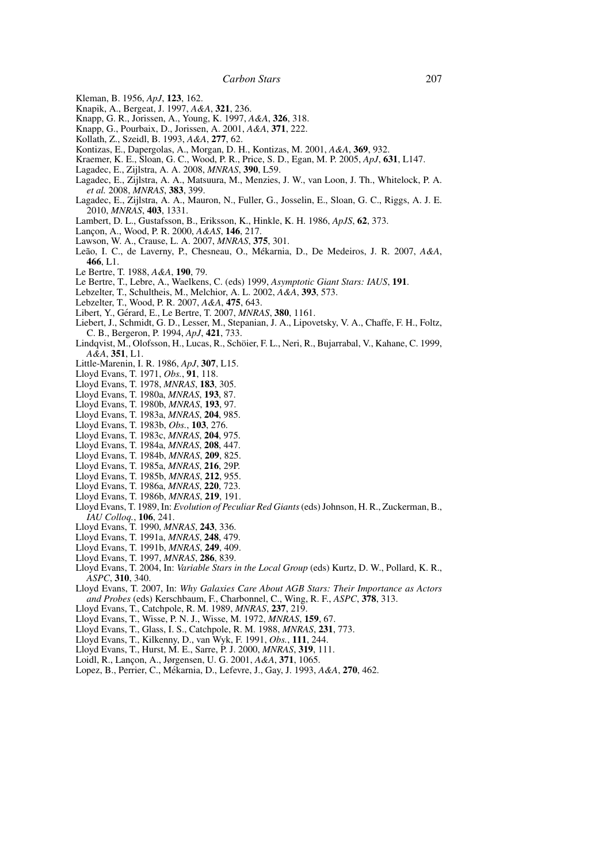- Kleman, B. 1956, *ApJ*, **123**, 162.
- Knapik, A., Bergeat, J. 1997, *A&A*, **321**, 236.
- Knapp, G. R., Jorissen, A., Young, K. 1997, *A&A*, **326**, 318.
- Knapp, G., Pourbaix, D., Jorissen, A. 2001, *A&A*, **371**, 222.
- Kollath, Z., Szeidl, B. 1993, *A&A*, **277**, 62.
- Kontizas, E., Dapergolas, A., Morgan, D. H., Kontizas, M. 2001, *A&A*, **369**, 932.
- Kraemer, K. E., Sloan, G. C., Wood, P. R., Price, S. D., Egan, M. P. 2005, *ApJ*, **631**, L147.
- Lagadec, E., Zijlstra, A. A. 2008, *MNRAS*, **390**, L59.
- Lagadec, E., Zijlstra, A. A., Matsuura, M., Menzies, J. W., van Loon, J. Th., Whitelock, P. A. *et al.* 2008, *MNRAS*, **383**, 399.
- Lagadec, E., Zijlstra, A. A., Mauron, N., Fuller, G., Josselin, E., Sloan, G. C., Riggs, A. J. E. 2010, *MNRAS*, **403**, 1331.
- Lambert, D. L., Gustafsson, B., Eriksson, K., Hinkle, K. H. 1986, *ApJS*, **62**, 373.
- Lanc¸on, A., Wood, P. R. 2000, *A&AS*, **146**, 217.
- Lawson, W. A., Crause, L. A. 2007, *MNRAS*, **375**, 301.
- Leão, I. C., de Laverny, P., Chesneau, O., Mékarnia, D., De Medeiros, J. R. 2007, A&A, **466**, L1.
- Le Bertre, T. 1988, *A&A*, **190**, 79.
- Le Bertre, T., Lebre, A., Waelkens, C. (eds) 1999, *Asymptotic Giant Stars: IAUS*, **191**.
- Lebzelter, T., Schultheis, M., Melchior, A. L. 2002, *A&A*, **393**, 573.
- Lebzelter, T., Wood, P. R. 2007, *A&A*, **475**, 643.
- Libert, Y., Gérard, E., Le Bertre, T. 2007, *MNRAS*, 380, 1161.
- Liebert, J., Schmidt, G. D., Lesser, M., Stepanian, J. A., Lipovetsky, V. A., Chaffe, F. H., Foltz, C. B., Bergeron, P. 1994, *ApJ*, **421**, 733.
- Lindqvist, M., Olofsson, H., Lucas, R., Schoier, F. L., Neri, R., Bujarrabal, V., Kahane, C. 1999, ¨ *A&A*, **351**, L1.
- Little-Marenin, I. R. 1986, *ApJ*, **307**, L15.
- Lloyd Evans, T. 1971, *Obs.*, **91**, 118.
- Lloyd Evans, T. 1978, *MNRAS*, **183**, 305.
- Lloyd Evans, T. 1980a, *MNRAS*, **193**, 87.
- Lloyd Evans, T. 1980b, *MNRAS*, **193**, 97.
- Lloyd Evans, T. 1983a, *MNRAS*, **204**, 985.
- Lloyd Evans, T. 1983b, *Obs.*, **103**, 276.
- Lloyd Evans, T. 1983c, *MNRAS*, **204**, 975.
- Lloyd Evans, T. 1984a, *MNRAS*, **208**, 447.
- Lloyd Evans, T. 1984b, *MNRAS*, **209**, 825.
- Lloyd Evans, T. 1985a, *MNRAS*, **216**, 29P.
- Lloyd Evans, T. 1985b, *MNRAS*, **212**, 955.
- Lloyd Evans, T. 1986a, *MNRAS*, **220**, 723.
- Lloyd Evans, T. 1986b, *MNRAS*, **219**, 191.
- Lloyd Evans, T. 1989, In: *Evolution of Peculiar Red Giants*(eds) Johnson, H. R., Zuckerman, B., *IAU Colloq.*, **106**, 241.
- Lloyd Evans, T. 1990, *MNRAS*, **243**, 336.
- Lloyd Evans, T. 1991a, *MNRAS*, **248**, 479.
- Lloyd Evans, T. 1991b, *MNRAS*, **249**, 409.
- Lloyd Evans, T. 1997, *MNRAS*, **286**, 839.
- Lloyd Evans, T. 2004, In: *Variable Stars in the Local Group* (eds) Kurtz, D. W., Pollard, K. R., *ASPC*, **310**, 340.
- Lloyd Evans, T. 2007, In: *Why Galaxies Care About AGB Stars: Their Importance as Actors and Probes* (eds) Kerschbaum, F., Charbonnel, C., Wing, R. F., *ASPC*, **378**, 313.
- Lloyd Evans, T., Catchpole, R. M. 1989, *MNRAS*, **237**, 219.
- Lloyd Evans, T., Wisse, P. N. J., Wisse, M. 1972, *MNRAS*, **159**, 67.
- Lloyd Evans, T., Glass, I. S., Catchpole, R. M. 1988, *MNRAS*, **231**, 773.
- Lloyd Evans, T., Kilkenny, D., van Wyk, F. 1991, *Obs.*, **111**, 244.
- Lloyd Evans, T., Hurst, M. E., Sarre, P. J. 2000, *MNRAS*, **319**, 111.
- Loidl, R., Lanc¸on, A., Jørgensen, U. G. 2001, *A&A*, **371**, 1065.
- Lopez, B., Perrier, C., Mekarnia, D., Lefevre, J., Gay, J. 1993, ´ *A&A*, **270**, 462.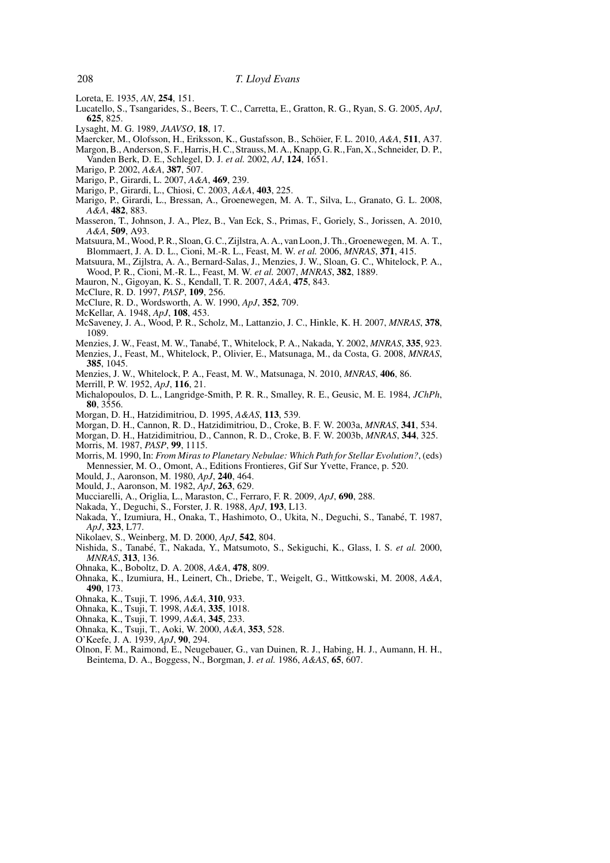- Loreta, E. 1935, *AN*, **254**, 151.
- Lucatello, S., Tsangarides, S., Beers, T. C., Carretta, E., Gratton, R. G., Ryan, S. G. 2005, *ApJ*, **625**, 825.
- Lysaght, M. G. 1989, *JAAVSO*, **18**, 17.
- Maercker, M., Olofsson, H., Eriksson, K., Gustafsson, B., Schöier, F. L. 2010, A&A, 511, A37.
- Margon, B., Anderson, S. F., Harris, H. C., Strauss, M. A., Knapp, G. R., Fan, X., Schneider, D. P., Vanden Berk, D. E., Schlegel, D. J. *et al.* 2002, *AJ*, **124**, 1651.
- Marigo, P. 2002, *A&A*, **387**, 507.
- Marigo, P., Girardi, L. 2007, *A&A*, **469**, 239.
- Marigo, P., Girardi, L., Chiosi, C. 2003, *A&A*, **403**, 225.
- Marigo, P., Girardi, L., Bressan, A., Groenewegen, M. A. T., Silva, L., Granato, G. L. 2008, *A&A*, **482**, 883.
- Masseron, T., Johnson, J. A., Plez, B., Van Eck, S., Primas, F., Goriely, S., Jorissen, A. 2010, *A&A*, **509**, A93.
- Matsuura, M., Wood, P. R., Sloan, G. C., Zijlstra, A. A., van Loon, J. Th., Groenewegen, M. A. T., Blommaert, J. A. D. L., Cioni, M.-R. L., Feast, M. W. *et al.* 2006, *MNRAS*, **371**, 415.
- Matsuura, M., Zijlstra, A. A., Bernard-Salas, J., Menzies, J. W., Sloan, G. C., Whitelock, P. A., Wood, P. R., Cioni, M.-R. L., Feast, M. W. *et al.* 2007, *MNRAS*, **382**, 1889.
- Mauron, N., Gigoyan, K. S., Kendall, T. R. 2007, *A&A*, **475**, 843.
- McClure, R. D. 1997, *PASP*, **109**, 256.
- McClure, R. D., Wordsworth, A. W. 1990, *ApJ*, **352**, 709.
- McKellar, A. 1948, *ApJ*, **108**, 453.
- McSaveney, J. A., Wood, P. R., Scholz, M., Lattanzio, J. C., Hinkle, K. H. 2007, *MNRAS*, **378**, 1089.
- Menzies, J. W., Feast, M. W., Tanabé, T., Whitelock, P. A., Nakada, Y. 2002, *MNRAS*, 335, 923.
- Menzies, J., Feast, M., Whitelock, P., Olivier, E., Matsunaga, M., da Costa, G. 2008, *MNRAS*, **385**, 1045.
- Menzies, J. W., Whitelock, P. A., Feast, M. W., Matsunaga, N. 2010, *MNRAS*, **406**, 86.
- Merrill, P. W. 1952, *ApJ*, **116**, 21.
- Michalopoulos, D. L., Langridge-Smith, P. R. R., Smalley, R. E., Geusic, M. E. 1984, *JChPh*, **80**, 3556.
- Morgan, D. H., Hatzidimitriou, D. 1995, *A&AS*, **113**, 539.
- Morgan, D. H., Cannon, R. D., Hatzidimitriou, D., Croke, B. F. W. 2003a, *MNRAS*, **341**, 534.
- Morgan, D. H., Hatzidimitriou, D., Cannon, R. D., Croke, B. F. W. 2003b, *MNRAS*, **344**, 325. Morris, M. 1987, *PASP*, **99**, 1115.
- Morris, M. 1990, In: *From Miras to Planetary Nebulae: Which Path for Stellar Evolution?*, (eds) Mennessier, M. O., Omont, A., Editions Frontieres, Gif Sur Yvette, France, p. 520.
- Mould, J., Aaronson, M. 1980, *ApJ*, **240**, 464.
- Mould, J., Aaronson, M. 1982, *ApJ*, **263**, 629.
- Mucciarelli, A., Origlia, L., Maraston, C., Ferraro, F. R. 2009, *ApJ*, **690**, 288.
- Nakada, Y., Deguchi, S., Forster, J. R. 1988, *ApJ*, **193**, L13.
- Nakada, Y., Izumiura, H., Onaka, T., Hashimoto, O., Ukita, N., Deguchi, S., Tanabe, T. 1987, ´ *ApJ*, **323**, L77.
- Nikolaev, S., Weinberg, M. D. 2000, *ApJ*, **542**, 804.
- Nishida, S., Tanabé, T., Nakada, Y., Matsumoto, S., Sekiguchi, K., Glass, I. S. *et al.* 2000, *MNRAS*, **313**, 136.
- Ohnaka, K., Boboltz, D. A. 2008, *A&A*, **478**, 809.
- Ohnaka, K., Izumiura, H., Leinert, Ch., Driebe, T., Weigelt, G., Wittkowski, M. 2008, *A&A*, **490**, 173.
- Ohnaka, K., Tsuji, T. 1996, *A&A*, **310**, 933.
- Ohnaka, K., Tsuji, T. 1998, *A&A*, **335**, 1018.
- Ohnaka, K., Tsuji, T. 1999, *A&A*, **345**, 233.
- Ohnaka, K., Tsuji, T., Aoki, W. 2000, *A&A*, **353**, 528.
- O'Keefe, J. A. 1939, *ApJ*, **90**, 294.
- Olnon, F. M., Raimond, E., Neugebauer, G., van Duinen, R. J., Habing, H. J., Aumann, H. H., Beintema, D. A., Boggess, N., Borgman, J. *et al.* 1986, *A&AS*, **65**, 607.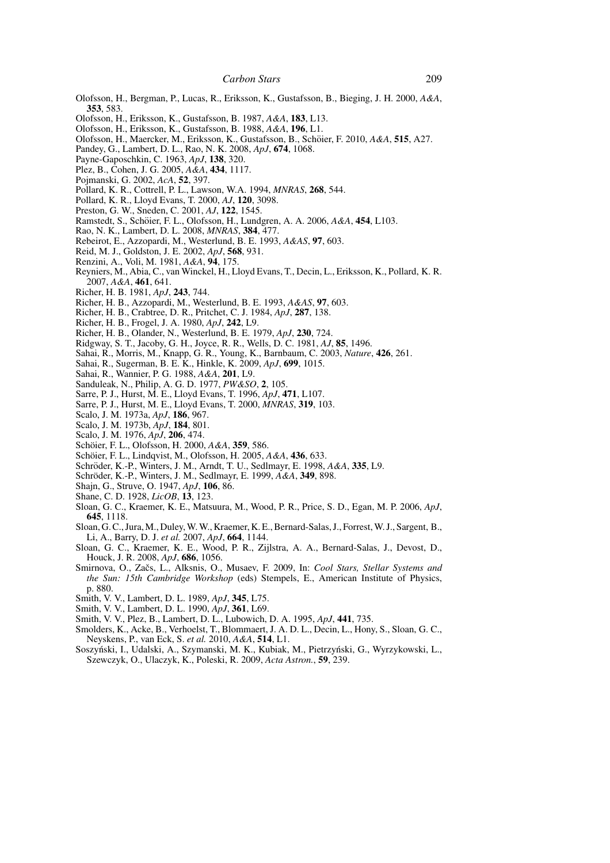- Olofsson, H., Bergman, P., Lucas, R., Eriksson, K., Gustafsson, B., Bieging, J. H. 2000, *A&A*, **353**, 583.
- Olofsson, H., Eriksson, K., Gustafsson, B. 1987, *A&A*, **183**, L13.
- Olofsson, H., Eriksson, K., Gustafsson, B. 1988, *A&A*, **196**, L1.
- Olofsson, H., Maercker, M., Eriksson, K., Gustafsson, B., Schoier, F. 2010, ¨ *A&A*, **515**, A27.
- Pandey, G., Lambert, D. L., Rao, N. K. 2008, *ApJ*, **674**, 1068.
- Payne-Gaposchkin, C. 1963, *ApJ*, **138**, 320.
- Plez, B., Cohen, J. G. 2005, *A&A*, **434**, 1117.
- Pojmanski, G. 2002, *AcA*, **52**, 397.
- Pollard, K. R., Cottrell, P. L., Lawson, W.A. 1994, *MNRAS*, **268**, 544.
- Pollard, K. R., Lloyd Evans, T. 2000, *AJ*, **120**, 3098.
- Preston, G. W., Sneden, C. 2001, *AJ*, **122**, 1545.
- Ramstedt, S., Schöier, F. L., Olofsson, H., Lundgren, A. A. 2006, A&A, 454, L103.
- Rao, N. K., Lambert, D. L. 2008, *MNRAS*, **384**, 477.
- Rebeirot, E., Azzopardi, M., Westerlund, B. E. 1993, *A&AS*, **97**, 603.
- Reid, M. J., Goldston, J. E. 2002, *ApJ*, **568**, 931.
- Renzini, A., Voli, M. 1981, *A&A*, **94**, 175.
- Reyniers, M., Abia, C., van Winckel, H., Lloyd Evans, T., Decin, L., Eriksson, K., Pollard, K. R. 2007, *A&A*, **461**, 641.
- Richer, H. B. 1981, *ApJ*, **243**, 744.
- Richer, H. B., Azzopardi, M., Westerlund, B. E. 1993, *A&AS*, **97**, 603.
- Richer, H. B., Crabtree, D. R., Pritchet, C. J. 1984, *ApJ*, **287**, 138.
- Richer, H. B., Frogel, J. A. 1980, *ApJ*, **242**, L9.
- Richer, H. B., Olander, N., Westerlund, B. E. 1979, *ApJ*, **230**, 724.
- Ridgway, S. T., Jacoby, G. H., Joyce, R. R., Wells, D. C. 1981, *AJ*, **85**, 1496.
- Sahai, R., Morris, M., Knapp, G. R., Young, K., Barnbaum, C. 2003, *Nature*, **426**, 261.
- Sahai, R., Sugerman, B. E. K., Hinkle, K. 2009, *ApJ*, **699**, 1015.
- Sahai, R., Wannier, P. G. 1988, *A&A*, **201**, L9.
- Sanduleak, N., Philip, A. G. D. 1977, *PW&SO*, **2**, 105.
- Sarre, P. J., Hurst, M. E., Lloyd Evans, T. 1996, *ApJ*, **471**, L107.
- Sarre, P. J., Hurst, M. E., Lloyd Evans, T. 2000, *MNRAS*, **319**, 103.
- Scalo, J. M. 1973a, *ApJ*, **186**, 967.
- Scalo, J. M. 1973b, *ApJ*, **184**, 801.
- Scalo, J. M. 1976, *ApJ*, **206**, 474.
- Schöier, F. L., Olofsson, H. 2000, A&A, 359, 586.
- Schoier, F. L., Lindqvist, M., Olofsson, H. 2005, ¨ *A&A*, **436**, 633.
- Schröder, K.-P., Winters, J. M., Arndt, T. U., Sedlmayr, E. 1998, A&A, 335, L9.
- Schröder, K.-P., Winters, J. M., Sedlmayr, E. 1999,  $\overrightarrow{A}$ &A, 349, 898.
- Shajn, G., Struve, O. 1947, *ApJ*, **106**, 86.
- Shane, C. D. 1928, *LicOB*, **13**, 123.
- Sloan, G. C., Kraemer, K. E., Matsuura, M., Wood, P. R., Price, S. D., Egan, M. P. 2006, *ApJ*, **645**, 1118.
- Sloan, G. C., Jura, M., Duley, W. W., Kraemer, K. E., Bernard-Salas, J., Forrest, W. J., Sargent, B., Li, A., Barry, D. J. *et al.* 2007, *ApJ*, **664**, 1144.
- Sloan, G. C., Kraemer, K. E., Wood, P. R., Zijlstra, A. A., Bernard-Salas, J., Devost, D., Houck, J. R. 2008, *ApJ*, **686**, 1056.
- Smirnova, O., Začs, L., Alksnis, O., Musaev, F. 2009, In: *Cool Stars, Stellar Systems and the Sun: 15th Cambridge Workshop* (eds) Stempels, E., American Institute of Physics, p. 880.
- Smith, V. V., Lambert, D. L. 1989, *ApJ*, **345**, L75.
- Smith, V. V., Lambert, D. L. 1990, *ApJ*, **361**, L69.
- Smith, V. V., Plez, B., Lambert, D. L., Lubowich, D. A. 1995, *ApJ*, **441**, 735.
- Smolders, K., Acke, B., Verhoelst, T., Blommaert, J. A. D. L., Decin, L., Hony, S., Sloan, G. C., Neyskens, P., van Eck, S. *et al.* 2010, *A&A*, **514**, L1.
- Soszyński, I., Udalski, A., Szymanski, M. K., Kubiak, M., Pietrzyński, G., Wyrzykowski, L., Szewczyk, O., Ulaczyk, K., Poleski, R. 2009, *Acta Astron.*, **59**, 239.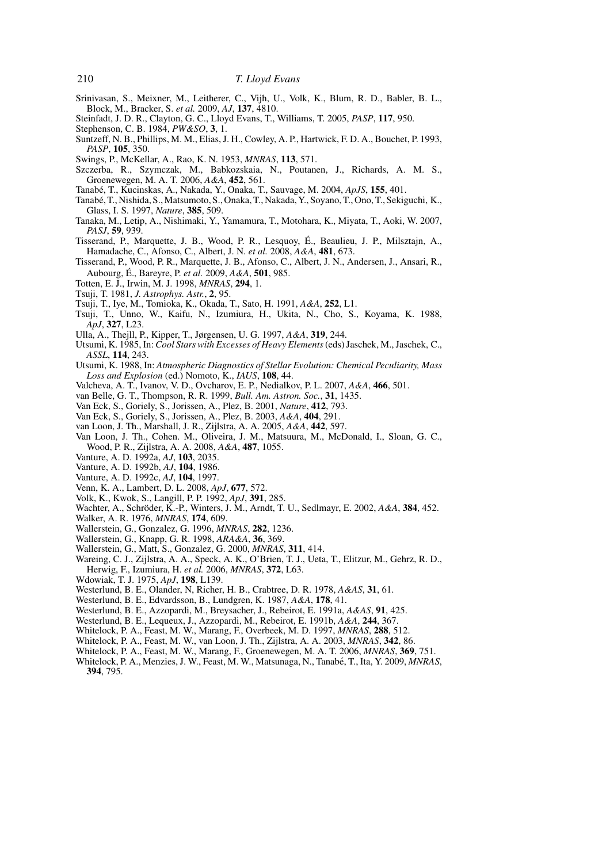- Srinivasan, S., Meixner, M., Leitherer, C., Vijh, U., Volk, K., Blum, R. D., Babler, B. L., Block, M., Bracker, S. *et al.* 2009, *AJ*, **137**, 4810.
- Steinfadt, J. D. R., Clayton, G. C., Lloyd Evans, T., Williams, T. 2005, *PASP*, **117**, 950.
- Stephenson, C. B. 1984, *PW&SO*, **3**, 1.
- Suntzeff, N. B., Phillips, M. M., Elias, J. H., Cowley, A. P., Hartwick, F. D. A., Bouchet, P. 1993, *PASP*, **105**, 350.
- Swings, P., McKellar, A., Rao, K. N. 1953, *MNRAS*, **113**, 571.
- Szczerba, R., Szymczak, M., Babkozskaia, N., Poutanen, J., Richards, A. M. S., Groenewegen, M. A. T. 2006, *A&A*, **452**, 561.
- Tanabe, T., Kucinskas, A., Nakada, Y., Onaka, T., Sauvage, M. 2004, ´ *ApJS*, **155**, 401.
- Tanabé, T., Nishida, S., Matsumoto, S., Onaka, T., Nakada, Y., Soyano, T., Ono, T., Sekiguchi, K., Glass, I. S. 1997, *Nature*, **385**, 509.
- Tanaka, M., Letip, A., Nishimaki, Y., Yamamura, T., Motohara, K., Miyata, T., Aoki, W. 2007, *PASJ*, **59**, 939.
- Tisserand, P., Marquette, J. B., Wood, P. R., Lesquoy, E., Beaulieu, J. P., Milsztajn, A., ´ Hamadache, C., Afonso, C., Albert, J. N. *et al.* 2008, *A&A*, **481**, 673.
- Tisserand, P., Wood, P. R., Marquette, J. B., Afonso, C., Albert, J. N., Andersen, J., Ansari, R., Aubourg, E., Bareyre, P. ´ *et al.* 2009, *A&A*, **501**, 985.
- Totten, E. J., Irwin, M. J. 1998, *MNRAS*, **294**, 1.
- Tsuji, T. 1981, *J. Astrophys. Astr.*, **2**, 95.
- Tsuji, T., Iye, M., Tomioka, K., Okada, T., Sato, H. 1991, *A&A*, **252**, L1.
- Tsuji, T., Unno, W., Kaifu, N., Izumiura, H., Ukita, N., Cho, S., Koyama, K. 1988, *ApJ*, **327**, L23.
- Ulla, A., Thejll, P., Kipper, T., Jørgensen, U. G. 1997, *A&A*, **319**, 244.
- Utsumi, K. 1985, In: *Cool Stars with Excesses of Heavy Elements*(eds) Jaschek, M., Jaschek, C., *ASSL*, **114**, 243.
- Utsumi, K. 1988, In: *Atmospheric Diagnostics of Stellar Evolution: Chemical Peculiarity, Mass Loss and Explosion* (ed.) Nomoto, K., *IAUS*, **108**, 44.
- Valcheva, A. T., Ivanov, V. D., Ovcharov, E. P., Nedialkov, P. L. 2007, *A&A*, **466**, 501.
- van Belle, G. T., Thompson, R. R. 1999, *Bull. Am. Astron. Soc.*, **31**, 1435.
- Van Eck, S., Goriely, S., Jorissen, A., Plez, B. 2001, *Nature*, **412**, 793.
- Van Eck, S., Goriely, S., Jorissen, A., Plez, B. 2003, *A&A*, **404**, 291.
- van Loon, J. Th., Marshall, J. R., Zijlstra, A. A. 2005, *A&A*, **442**, 597.
- Van Loon, J. Th., Cohen. M., Oliveira, J. M., Matsuura, M., McDonald, I., Sloan, G. C., Wood, P. R., Zijlstra, A. A. 2008, *A&A*, **487**, 1055.
- Vanture, A. D. 1992a, *AJ*, **103**, 2035.
- Vanture, A. D. 1992b, *AJ*, **104**, 1986.
- Vanture, A. D. 1992c, *AJ*, **104**, 1997.
- Venn, K. A., Lambert, D. L. 2008, *ApJ*, **677**, 572.
- Volk, K., Kwok, S., Langill, P. P. 1992, *ApJ*, **391**, 285.
- Wachter, A., Schröder, K.-P., Winters, J. M., Arndt, T. U., Sedlmayr, E. 2002, A&A, 384, 452.
- Walker, A. R. 1976, *MNRAS*, **174**, 609.
- Wallerstein, G., Gonzalez, G. 1996, *MNRAS*, **282**, 1236.
- Wallerstein, G., Knapp, G. R. 1998, *ARA&A*, **36**, 369.
- Wallerstein, G., Matt, S., Gonzalez, G. 2000, *MNRAS*, **311**, 414.
- Wareing, C. J., Zijlstra, A. A., Speck, A. K., O'Brien, T. J., Ueta, T., Elitzur, M., Gehrz, R. D., Herwig, F., Izumiura, H. *et al.* 2006, *MNRAS*, **372**, L63.
- Wdowiak, T. J. 1975, *ApJ*, **198**, L139.
- Westerlund, B. E., Olander, N, Richer, H. B., Crabtree, D. R. 1978, *A&AS*, **31**, 61.
- Westerlund, B. E., Edvardsson, B., Lundgren, K. 1987, *A&A*, **178**, 41.
- Westerlund, B. E., Azzopardi, M., Breysacher, J., Rebeirot, E. 1991a, *A&AS*, **91**, 425.
- Westerlund, B. E., Lequeux, J., Azzopardi, M., Rebeirot, E. 1991b, *A&A*, **244**, 367.
- Whitelock, P. A., Feast, M. W., Marang, F., Overbeek, M. D. 1997, *MNRAS*, **288**, 512.
- Whitelock, P. A., Feast, M. W., van Loon, J. Th., Zijlstra, A. A. 2003, *MNRAS*, **342**, 86.
- Whitelock, P. A., Feast, M. W., Marang, F., Groenewegen, M. A. T. 2006, *MNRAS*, **369**, 751.
- Whitelock, P. A., Menzies, J. W., Feast, M. W., Matsunaga, N., Tanabé, T., Ita, Y. 2009, *MNRAS*, **394**, 795.